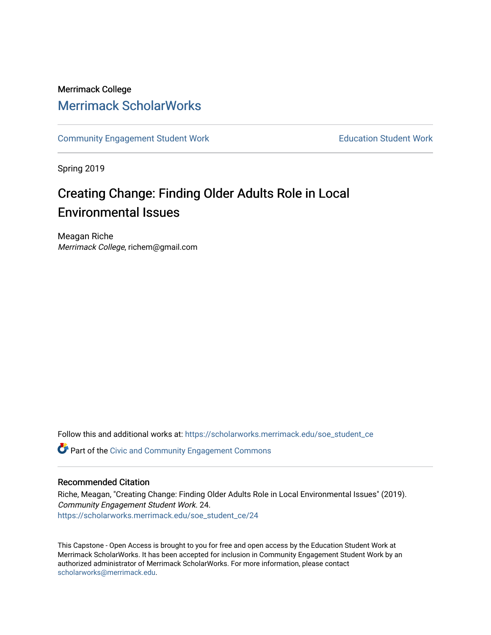## Merrimack College [Merrimack ScholarWorks](https://scholarworks.merrimack.edu/)

[Community Engagement Student Work](https://scholarworks.merrimack.edu/soe_student_ce) **Education Student Work** Education Student Work

Spring 2019

# Creating Change: Finding Older Adults Role in Local Environmental Issues

Meagan Riche Merrimack College, richem@gmail.com

Follow this and additional works at: [https://scholarworks.merrimack.edu/soe\\_student\\_ce](https://scholarworks.merrimack.edu/soe_student_ce?utm_source=scholarworks.merrimack.edu%2Fsoe_student_ce%2F24&utm_medium=PDF&utm_campaign=PDFCoverPages) 

Part of the [Civic and Community Engagement Commons](http://network.bepress.com/hgg/discipline/1028?utm_source=scholarworks.merrimack.edu%2Fsoe_student_ce%2F24&utm_medium=PDF&utm_campaign=PDFCoverPages)

## Recommended Citation

Riche, Meagan, "Creating Change: Finding Older Adults Role in Local Environmental Issues" (2019). Community Engagement Student Work. 24. [https://scholarworks.merrimack.edu/soe\\_student\\_ce/24](https://scholarworks.merrimack.edu/soe_student_ce/24?utm_source=scholarworks.merrimack.edu%2Fsoe_student_ce%2F24&utm_medium=PDF&utm_campaign=PDFCoverPages)

This Capstone - Open Access is brought to you for free and open access by the Education Student Work at Merrimack ScholarWorks. It has been accepted for inclusion in Community Engagement Student Work by an authorized administrator of Merrimack ScholarWorks. For more information, please contact [scholarworks@merrimack.edu](mailto:scholarworks@merrimack.edu).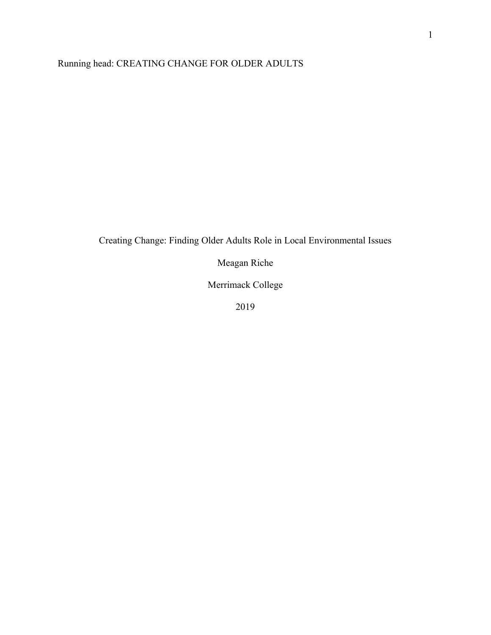## Running head: CREATING CHANGE FOR OLDER ADULTS

## Creating Change: Finding Older Adults Role in Local Environmental Issues

Meagan Riche

Merrimack College

2019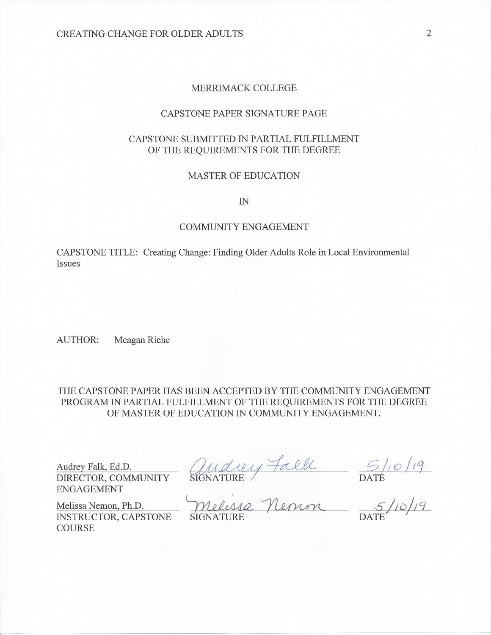## MERRIMACK COLLEGE

#### CAPSTONE PAPER SIGNATURE PAGE

## CAPSTONE SUBMITTED IN PARTIAL FULFILLMENT OF THE REQUIREMENTS FOR THE DEGREE

#### **MASTER OF EDUCATION**

 $I\!N$ 

#### **COMMUNITY ENGAGEMENT**

CAPSTONE TITLE: Creating Change: Finding Older Adults Role in Local Environmental Issues

**AUTHOR:** Meagan Riche

THE CAPSTONE PAPER HAS BEEN ACCEPTED BY THE COMMUNITY ENGAGEMENT PROGRAM IN PARTIAL FULFILLMENT OF THE REQUIREMENTS FOR THE DEGREE OF MASTER OF EDUCATION IN COMMUNITY ENGAGEMENT.

Audrey Falk, Ed.D.<br>DIRECTOR, COMMUNITY SIGNATURE BALL DATE<br>ENGAGEMENT<br>Melissa Nemon, Ph.D. Melissa Nemon 5/10/19

INSTRUCTOR, CAPSTONE **COURSE**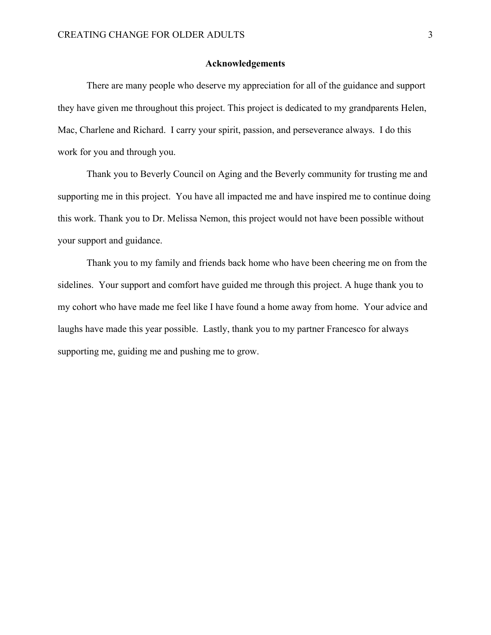## **Acknowledgements**

 There are many people who deserve my appreciation for all of the guidance and support they have given me throughout this project. This project is dedicated to my grandparents Helen, Mac, Charlene and Richard. I carry your spirit, passion, and perseverance always. I do this work for you and through you.

 Thank you to Beverly Council on Aging and the Beverly community for trusting me and supporting me in this project. You have all impacted me and have inspired me to continue doing this work. Thank you to Dr. Melissa Nemon, this project would not have been possible without your support and guidance.

 Thank you to my family and friends back home who have been cheering me on from the sidelines. Your support and comfort have guided me through this project. A huge thank you to my cohort who have made me feel like I have found a home away from home. Your advice and laughs have made this year possible. Lastly, thank you to my partner Francesco for always supporting me, guiding me and pushing me to grow.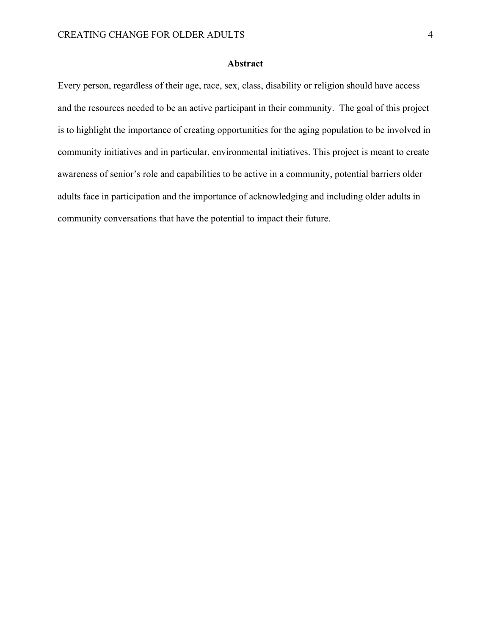## **Abstract**

Every person, regardless of their age, race, sex, class, disability or religion should have access and the resources needed to be an active participant in their community. The goal of this project is to highlight the importance of creating opportunities for the aging population to be involved in community initiatives and in particular, environmental initiatives. This project is meant to create awareness of senior's role and capabilities to be active in a community, potential barriers older adults face in participation and the importance of acknowledging and including older adults in community conversations that have the potential to impact their future.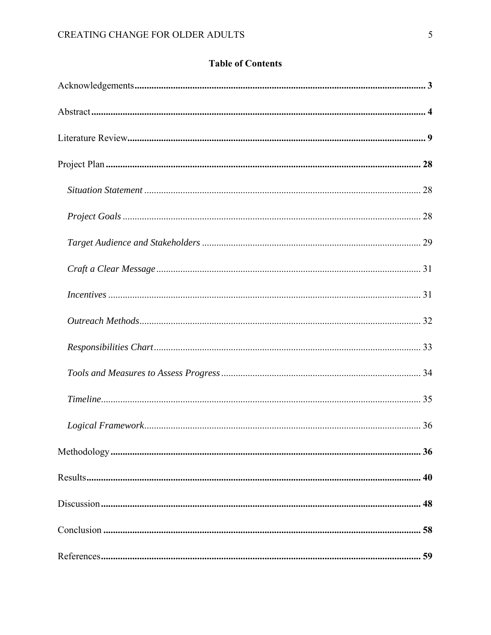## **Table of Contents**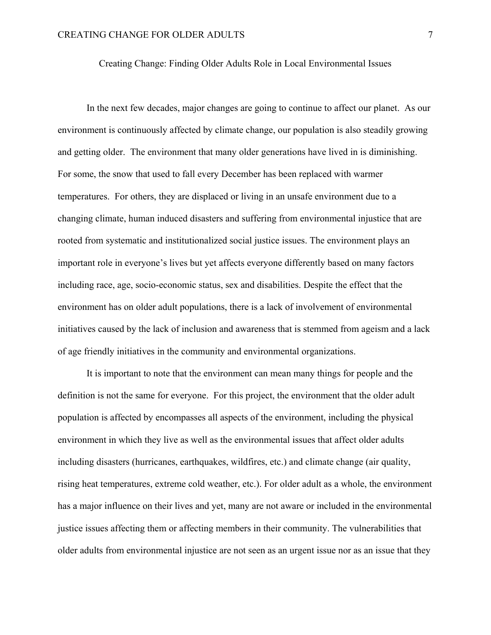## Creating Change: Finding Older Adults Role in Local Environmental Issues

 In the next few decades, major changes are going to continue to affect our planet. As our environment is continuously affected by climate change, our population is also steadily growing and getting older. The environment that many older generations have lived in is diminishing. For some, the snow that used to fall every December has been replaced with warmer temperatures. For others, they are displaced or living in an unsafe environment due to a changing climate, human induced disasters and suffering from environmental injustice that are rooted from systematic and institutionalized social justice issues. The environment plays an important role in everyone's lives but yet affects everyone differently based on many factors including race, age, socio-economic status, sex and disabilities. Despite the effect that the environment has on older adult populations, there is a lack of involvement of environmental initiatives caused by the lack of inclusion and awareness that is stemmed from ageism and a lack of age friendly initiatives in the community and environmental organizations.

 It is important to note that the environment can mean many things for people and the definition is not the same for everyone. For this project, the environment that the older adult population is affected by encompasses all aspects of the environment, including the physical environment in which they live as well as the environmental issues that affect older adults including disasters (hurricanes, earthquakes, wildfires, etc.) and climate change (air quality, rising heat temperatures, extreme cold weather, etc.). For older adult as a whole, the environment has a major influence on their lives and yet, many are not aware or included in the environmental justice issues affecting them or affecting members in their community. The vulnerabilities that older adults from environmental injustice are not seen as an urgent issue nor as an issue that they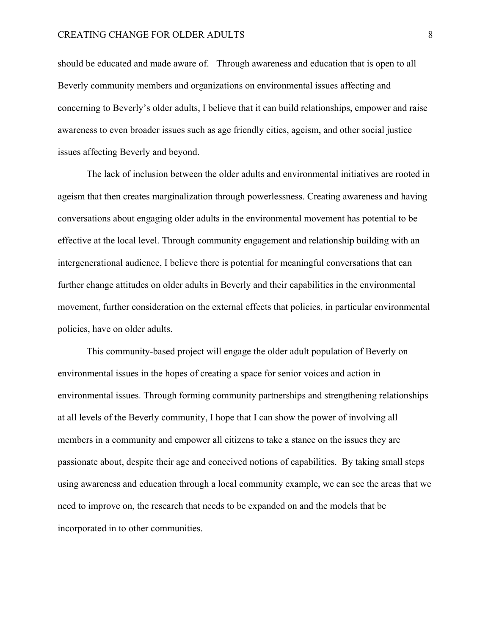should be educated and made aware of. Through awareness and education that is open to all Beverly community members and organizations on environmental issues affecting and concerning to Beverly's older adults, I believe that it can build relationships, empower and raise awareness to even broader issues such as age friendly cities, ageism, and other social justice issues affecting Beverly and beyond.

The lack of inclusion between the older adults and environmental initiatives are rooted in ageism that then creates marginalization through powerlessness. Creating awareness and having conversations about engaging older adults in the environmental movement has potential to be effective at the local level. Through community engagement and relationship building with an intergenerational audience, I believe there is potential for meaningful conversations that can further change attitudes on older adults in Beverly and their capabilities in the environmental movement, further consideration on the external effects that policies, in particular environmental policies, have on older adults.

 This community-based project will engage the older adult population of Beverly on environmental issues in the hopes of creating a space for senior voices and action in environmental issues. Through forming community partnerships and strengthening relationships at all levels of the Beverly community, I hope that I can show the power of involving all members in a community and empower all citizens to take a stance on the issues they are passionate about, despite their age and conceived notions of capabilities. By taking small steps using awareness and education through a local community example, we can see the areas that we need to improve on, the research that needs to be expanded on and the models that be incorporated in to other communities.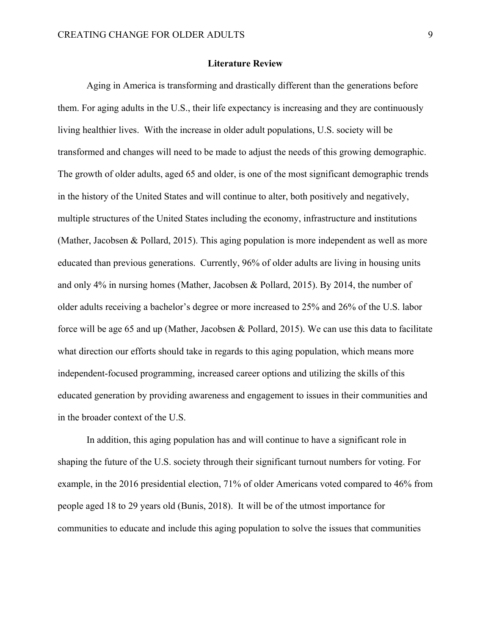### **Literature Review**

Aging in America is transforming and drastically different than the generations before them. For aging adults in the U.S., their life expectancy is increasing and they are continuously living healthier lives. With the increase in older adult populations, U.S. society will be transformed and changes will need to be made to adjust the needs of this growing demographic. The growth of older adults, aged 65 and older, is one of the most significant demographic trends in the history of the United States and will continue to alter, both positively and negatively, multiple structures of the United States including the economy, infrastructure and institutions (Mather, Jacobsen & Pollard, 2015). This aging population is more independent as well as more educated than previous generations. Currently, 96% of older adults are living in housing units and only 4% in nursing homes (Mather, Jacobsen & Pollard, 2015). By 2014, the number of older adults receiving a bachelor's degree or more increased to 25% and 26% of the U.S. labor force will be age 65 and up (Mather, Jacobsen & Pollard, 2015). We can use this data to facilitate what direction our efforts should take in regards to this aging population, which means more independent-focused programming, increased career options and utilizing the skills of this educated generation by providing awareness and engagement to issues in their communities and in the broader context of the U.S.

 In addition, this aging population has and will continue to have a significant role in shaping the future of the U.S. society through their significant turnout numbers for voting. For example, in the 2016 presidential election, 71% of older Americans voted compared to 46% from people aged 18 to 29 years old (Bunis, 2018). It will be of the utmost importance for communities to educate and include this aging population to solve the issues that communities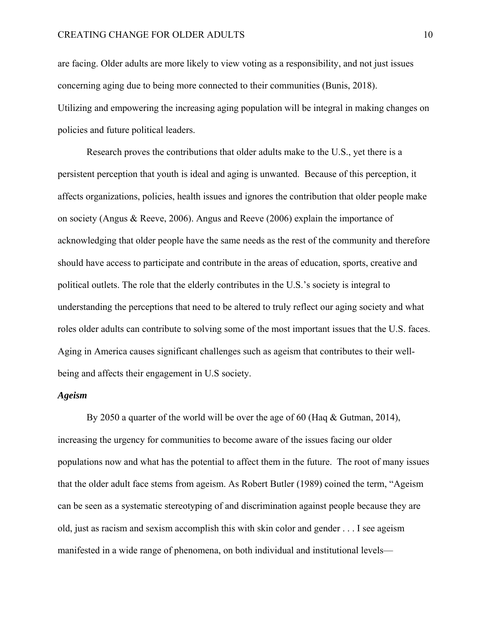are facing. Older adults are more likely to view voting as a responsibility, and not just issues concerning aging due to being more connected to their communities (Bunis, 2018). Utilizing and empowering the increasing aging population will be integral in making changes on policies and future political leaders.

Research proves the contributions that older adults make to the U.S., yet there is a persistent perception that youth is ideal and aging is unwanted. Because of this perception, it affects organizations, policies, health issues and ignores the contribution that older people make on society (Angus & Reeve, 2006). Angus and Reeve (2006) explain the importance of acknowledging that older people have the same needs as the rest of the community and therefore should have access to participate and contribute in the areas of education, sports, creative and political outlets. The role that the elderly contributes in the U.S.'s society is integral to understanding the perceptions that need to be altered to truly reflect our aging society and what roles older adults can contribute to solving some of the most important issues that the U.S. faces. Aging in America causes significant challenges such as ageism that contributes to their wellbeing and affects their engagement in U.S society.

#### *Ageism*

By 2050 a quarter of the world will be over the age of 60 (Haq & Gutman, 2014), increasing the urgency for communities to become aware of the issues facing our older populations now and what has the potential to affect them in the future. The root of many issues that the older adult face stems from ageism. As Robert Butler (1989) coined the term, "Ageism can be seen as a systematic stereotyping of and discrimination against people because they are old, just as racism and sexism accomplish this with skin color and gender . . . I see ageism manifested in a wide range of phenomena, on both individual and institutional levels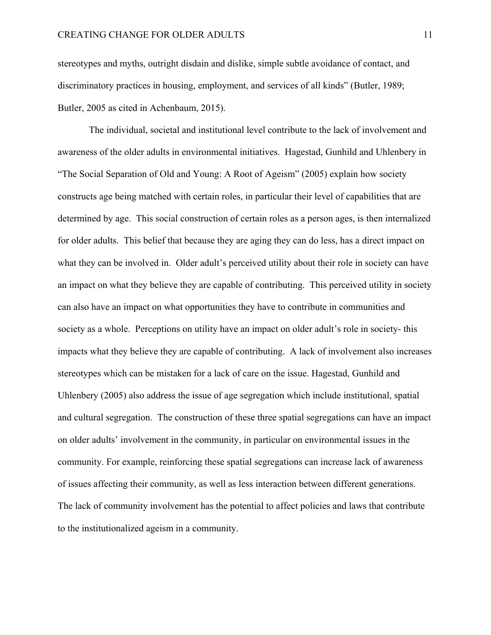stereotypes and myths, outright disdain and dislike, simple subtle avoidance of contact, and discriminatory practices in housing, employment, and services of all kinds" (Butler, 1989; Butler, 2005 as cited in Achenbaum, 2015).

 The individual, societal and institutional level contribute to the lack of involvement and awareness of the older adults in environmental initiatives. Hagestad, Gunhild and Uhlenbery in "The Social Separation of Old and Young: A Root of Ageism" (2005) explain how society constructs age being matched with certain roles, in particular their level of capabilities that are determined by age. This social construction of certain roles as a person ages, is then internalized for older adults. This belief that because they are aging they can do less, has a direct impact on what they can be involved in. Older adult's perceived utility about their role in society can have an impact on what they believe they are capable of contributing. This perceived utility in society can also have an impact on what opportunities they have to contribute in communities and society as a whole. Perceptions on utility have an impact on older adult's role in society- this impacts what they believe they are capable of contributing. A lack of involvement also increases stereotypes which can be mistaken for a lack of care on the issue. Hagestad, Gunhild and Uhlenbery (2005) also address the issue of age segregation which include institutional, spatial and cultural segregation. The construction of these three spatial segregations can have an impact on older adults' involvement in the community, in particular on environmental issues in the community. For example, reinforcing these spatial segregations can increase lack of awareness of issues affecting their community, as well as less interaction between different generations. The lack of community involvement has the potential to affect policies and laws that contribute to the institutionalized ageism in a community.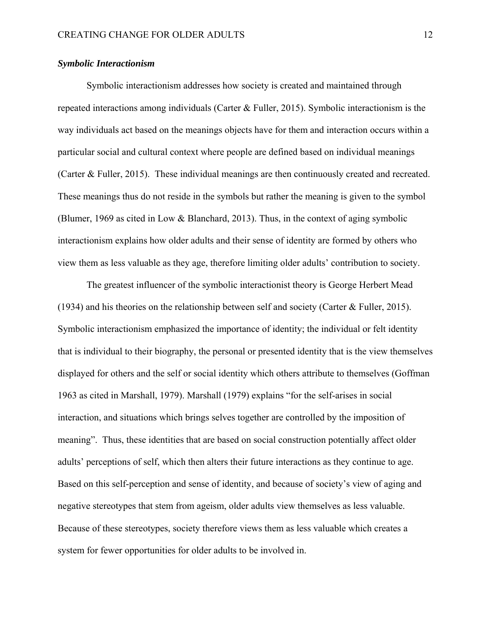## *Symbolic Interactionism*

 Symbolic interactionism addresses how society is created and maintained through repeated interactions among individuals (Carter & Fuller, 2015). Symbolic interactionism is the way individuals act based on the meanings objects have for them and interaction occurs within a particular social and cultural context where people are defined based on individual meanings (Carter & Fuller, 2015). These individual meanings are then continuously created and recreated. These meanings thus do not reside in the symbols but rather the meaning is given to the symbol (Blumer, 1969 as cited in Low & Blanchard, 2013). Thus, in the context of aging symbolic interactionism explains how older adults and their sense of identity are formed by others who view them as less valuable as they age, therefore limiting older adults' contribution to society.

 The greatest influencer of the symbolic interactionist theory is George Herbert Mead (1934) and his theories on the relationship between self and society (Carter & Fuller, 2015). Symbolic interactionism emphasized the importance of identity; the individual or felt identity that is individual to their biography, the personal or presented identity that is the view themselves displayed for others and the self or social identity which others attribute to themselves (Goffman 1963 as cited in Marshall, 1979). Marshall (1979) explains "for the self-arises in social interaction, and situations which brings selves together are controlled by the imposition of meaning". Thus, these identities that are based on social construction potentially affect older adults' perceptions of self, which then alters their future interactions as they continue to age. Based on this self-perception and sense of identity, and because of society's view of aging and negative stereotypes that stem from ageism, older adults view themselves as less valuable. Because of these stereotypes, society therefore views them as less valuable which creates a system for fewer opportunities for older adults to be involved in.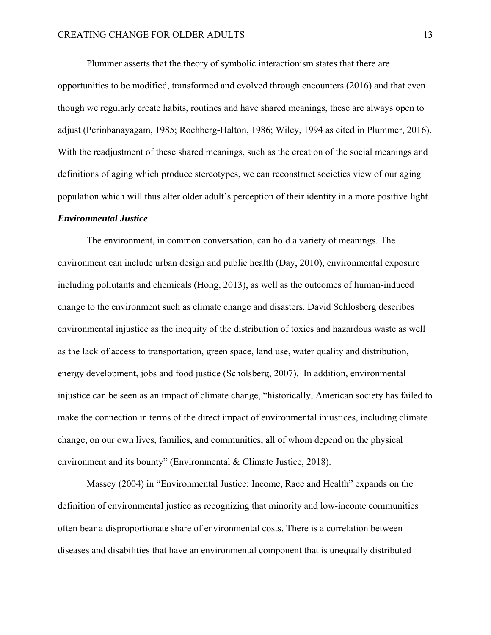Plummer asserts that the theory of symbolic interactionism states that there are opportunities to be modified, transformed and evolved through encounters (2016) and that even though we regularly create habits, routines and have shared meanings, these are always open to adjust (Perinbanayagam, 1985; Rochberg-Halton, 1986; Wiley, 1994 as cited in Plummer, 2016). With the readjustment of these shared meanings, such as the creation of the social meanings and definitions of aging which produce stereotypes, we can reconstruct societies view of our aging population which will thus alter older adult's perception of their identity in a more positive light.

## *Environmental Justice*

The environment, in common conversation, can hold a variety of meanings. The environment can include urban design and public health (Day, 2010), environmental exposure including pollutants and chemicals (Hong, 2013), as well as the outcomes of human-induced change to the environment such as climate change and disasters. David Schlosberg describes environmental injustice as the inequity of the distribution of toxics and hazardous waste as well as the lack of access to transportation, green space, land use, water quality and distribution, energy development, jobs and food justice (Scholsberg, 2007). In addition, environmental injustice can be seen as an impact of climate change, "historically, American society has failed to make the connection in terms of the direct impact of environmental injustices, including climate change, on our own lives, families, and communities, all of whom depend on the physical environment and its bounty" (Environmental & Climate Justice, 2018).

Massey (2004) in "Environmental Justice: Income, Race and Health" expands on the definition of environmental justice as recognizing that minority and low-income communities often bear a disproportionate share of environmental costs. There is a correlation between diseases and disabilities that have an environmental component that is unequally distributed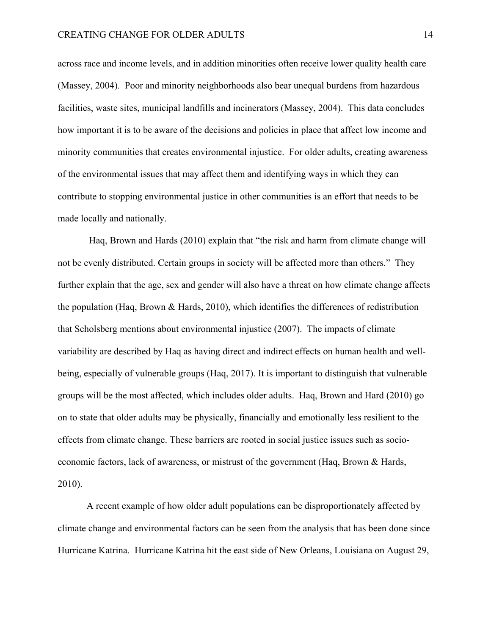across race and income levels, and in addition minorities often receive lower quality health care (Massey, 2004). Poor and minority neighborhoods also bear unequal burdens from hazardous facilities, waste sites, municipal landfills and incinerators (Massey, 2004). This data concludes how important it is to be aware of the decisions and policies in place that affect low income and minority communities that creates environmental injustice. For older adults, creating awareness of the environmental issues that may affect them and identifying ways in which they can contribute to stopping environmental justice in other communities is an effort that needs to be made locally and nationally.

 Haq, Brown and Hards (2010) explain that "the risk and harm from climate change will not be evenly distributed. Certain groups in society will be affected more than others." They further explain that the age, sex and gender will also have a threat on how climate change affects the population (Haq, Brown & Hards, 2010), which identifies the differences of redistribution that Scholsberg mentions about environmental injustice (2007). The impacts of climate variability are described by Haq as having direct and indirect effects on human health and wellbeing, especially of vulnerable groups (Haq, 2017). It is important to distinguish that vulnerable groups will be the most affected, which includes older adults. Haq, Brown and Hard (2010) go on to state that older adults may be physically, financially and emotionally less resilient to the effects from climate change. These barriers are rooted in social justice issues such as socioeconomic factors, lack of awareness, or mistrust of the government (Haq, Brown & Hards, 2010).

A recent example of how older adult populations can be disproportionately affected by climate change and environmental factors can be seen from the analysis that has been done since Hurricane Katrina. Hurricane Katrina hit the east side of New Orleans, Louisiana on August 29,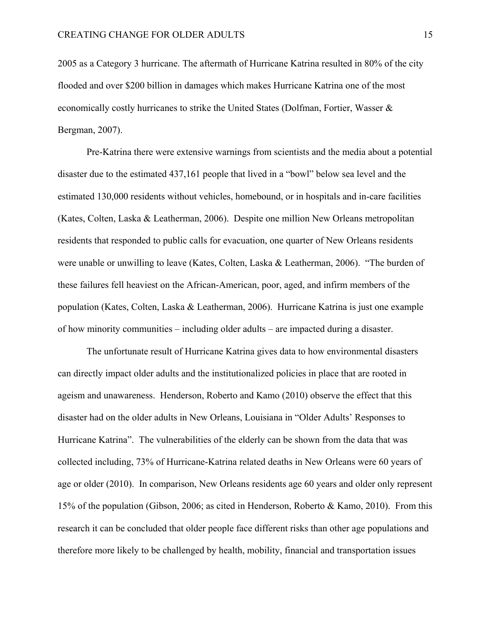2005 as a Category 3 hurricane. The aftermath of Hurricane Katrina resulted in 80% of the city flooded and over \$200 billion in damages which makes Hurricane Katrina one of the most economically costly hurricanes to strike the United States (Dolfman, Fortier, Wasser & Bergman, 2007).

 Pre-Katrina there were extensive warnings from scientists and the media about a potential disaster due to the estimated 437,161 people that lived in a "bowl" below sea level and the estimated 130,000 residents without vehicles, homebound, or in hospitals and in-care facilities (Kates, Colten, Laska & Leatherman, 2006). Despite one million New Orleans metropolitan residents that responded to public calls for evacuation, one quarter of New Orleans residents were unable or unwilling to leave (Kates, Colten, Laska & Leatherman, 2006). "The burden of these failures fell heaviest on the African-American, poor, aged, and infirm members of the population (Kates, Colten, Laska & Leatherman, 2006). Hurricane Katrina is just one example of how minority communities – including older adults – are impacted during a disaster.

 The unfortunate result of Hurricane Katrina gives data to how environmental disasters can directly impact older adults and the institutionalized policies in place that are rooted in ageism and unawareness. Henderson, Roberto and Kamo (2010) observe the effect that this disaster had on the older adults in New Orleans, Louisiana in "Older Adults' Responses to Hurricane Katrina". The vulnerabilities of the elderly can be shown from the data that was collected including, 73% of Hurricane-Katrina related deaths in New Orleans were 60 years of age or older (2010). In comparison, New Orleans residents age 60 years and older only represent 15% of the population (Gibson, 2006; as cited in Henderson, Roberto & Kamo, 2010). From this research it can be concluded that older people face different risks than other age populations and therefore more likely to be challenged by health, mobility, financial and transportation issues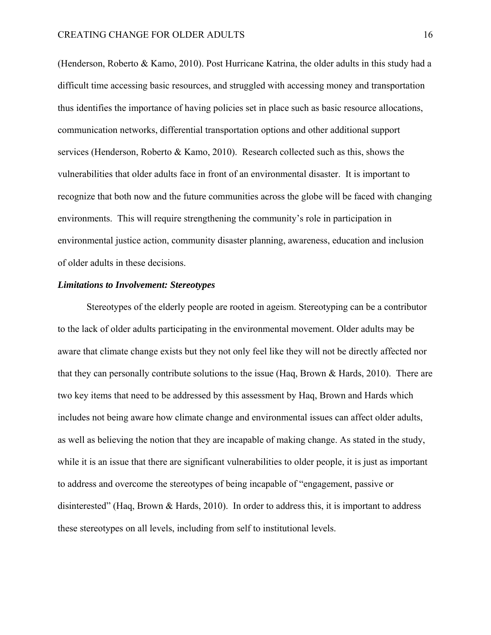(Henderson, Roberto & Kamo, 2010). Post Hurricane Katrina, the older adults in this study had a difficult time accessing basic resources, and struggled with accessing money and transportation thus identifies the importance of having policies set in place such as basic resource allocations, communication networks, differential transportation options and other additional support services (Henderson, Roberto & Kamo, 2010). Research collected such as this, shows the vulnerabilities that older adults face in front of an environmental disaster. It is important to recognize that both now and the future communities across the globe will be faced with changing environments. This will require strengthening the community's role in participation in environmental justice action, community disaster planning, awareness, education and inclusion of older adults in these decisions.

## *Limitations to Involvement: Stereotypes*

Stereotypes of the elderly people are rooted in ageism. Stereotyping can be a contributor to the lack of older adults participating in the environmental movement. Older adults may be aware that climate change exists but they not only feel like they will not be directly affected nor that they can personally contribute solutions to the issue (Haq, Brown & Hards, 2010). There are two key items that need to be addressed by this assessment by Haq, Brown and Hards which includes not being aware how climate change and environmental issues can affect older adults, as well as believing the notion that they are incapable of making change. As stated in the study, while it is an issue that there are significant vulnerabilities to older people, it is just as important to address and overcome the stereotypes of being incapable of "engagement, passive or disinterested" (Haq, Brown & Hards, 2010). In order to address this, it is important to address these stereotypes on all levels, including from self to institutional levels.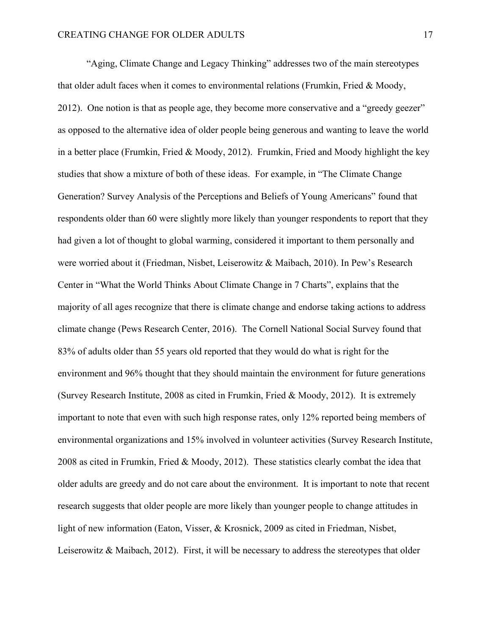"Aging, Climate Change and Legacy Thinking" addresses two of the main stereotypes that older adult faces when it comes to environmental relations (Frumkin, Fried & Moody, 2012). One notion is that as people age, they become more conservative and a "greedy geezer" as opposed to the alternative idea of older people being generous and wanting to leave the world in a better place (Frumkin, Fried & Moody, 2012). Frumkin, Fried and Moody highlight the key studies that show a mixture of both of these ideas. For example, in "The Climate Change Generation? Survey Analysis of the Perceptions and Beliefs of Young Americans" found that respondents older than 60 were slightly more likely than younger respondents to report that they had given a lot of thought to global warming, considered it important to them personally and were worried about it (Friedman, Nisbet, Leiserowitz & Maibach, 2010). In Pew's Research Center in "What the World Thinks About Climate Change in 7 Charts", explains that the majority of all ages recognize that there is climate change and endorse taking actions to address climate change (Pews Research Center, 2016). The Cornell National Social Survey found that 83% of adults older than 55 years old reported that they would do what is right for the environment and 96% thought that they should maintain the environment for future generations (Survey Research Institute, 2008 as cited in Frumkin, Fried & Moody, 2012). It is extremely important to note that even with such high response rates, only 12% reported being members of environmental organizations and 15% involved in volunteer activities (Survey Research Institute, 2008 as cited in Frumkin, Fried & Moody, 2012). These statistics clearly combat the idea that older adults are greedy and do not care about the environment. It is important to note that recent research suggests that older people are more likely than younger people to change attitudes in light of new information (Eaton, Visser, & Krosnick, 2009 as cited in Friedman, Nisbet, Leiserowitz & Maibach, 2012). First, it will be necessary to address the stereotypes that older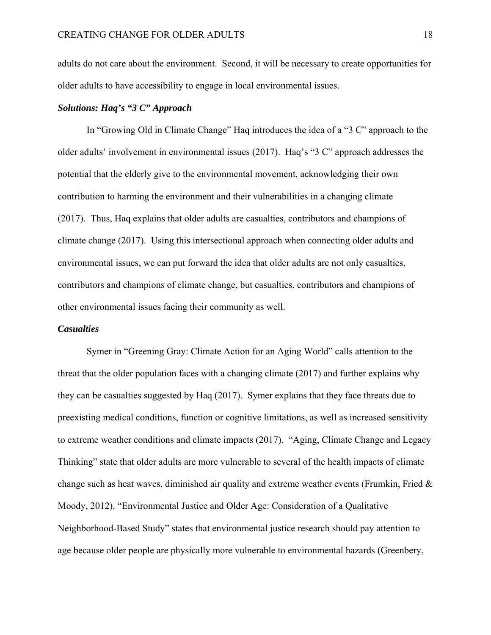adults do not care about the environment. Second, it will be necessary to create opportunities for older adults to have accessibility to engage in local environmental issues.

## *Solutions: Haq's "3 C" Approach*

In "Growing Old in Climate Change" Haq introduces the idea of a "3 C" approach to the older adults' involvement in environmental issues (2017). Haq's "3 C" approach addresses the potential that the elderly give to the environmental movement, acknowledging their own contribution to harming the environment and their vulnerabilities in a changing climate (2017). Thus, Haq explains that older adults are casualties, contributors and champions of climate change (2017). Using this intersectional approach when connecting older adults and environmental issues, we can put forward the idea that older adults are not only casualties, contributors and champions of climate change, but casualties, contributors and champions of other environmental issues facing their community as well.

#### *Casualties*

Symer in "Greening Gray: Climate Action for an Aging World" calls attention to the threat that the older population faces with a changing climate (2017) and further explains why they can be casualties suggested by Haq (2017). Symer explains that they face threats due to preexisting medical conditions, function or cognitive limitations, as well as increased sensitivity to extreme weather conditions and climate impacts (2017). "Aging, Climate Change and Legacy Thinking" state that older adults are more vulnerable to several of the health impacts of climate change such as heat waves, diminished air quality and extreme weather events (Frumkin, Fried & Moody, 2012). "Environmental Justice and Older Age: Consideration of a Qualitative Neighborhood-Based Study" states that environmental justice research should pay attention to age because older people are physically more vulnerable to environmental hazards (Greenbery,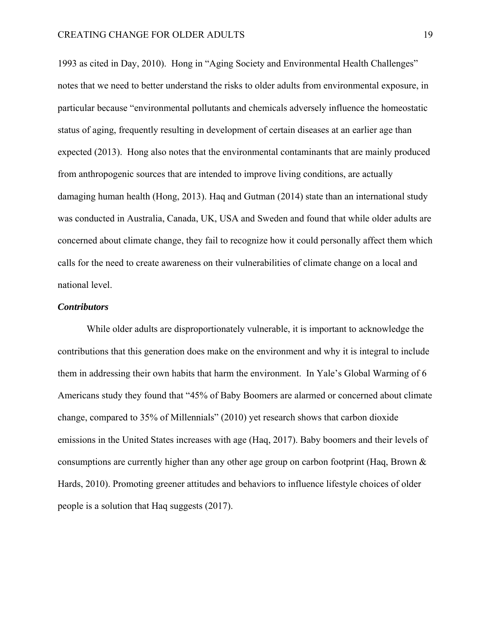1993 as cited in Day, 2010). Hong in "Aging Society and Environmental Health Challenges" notes that we need to better understand the risks to older adults from environmental exposure, in particular because "environmental pollutants and chemicals adversely influence the homeostatic status of aging, frequently resulting in development of certain diseases at an earlier age than expected (2013). Hong also notes that the environmental contaminants that are mainly produced from anthropogenic sources that are intended to improve living conditions, are actually damaging human health (Hong, 2013). Haq and Gutman (2014) state than an international study was conducted in Australia, Canada, UK, USA and Sweden and found that while older adults are concerned about climate change, they fail to recognize how it could personally affect them which calls for the need to create awareness on their vulnerabilities of climate change on a local and national level.

## *Contributors*

While older adults are disproportionately vulnerable, it is important to acknowledge the contributions that this generation does make on the environment and why it is integral to include them in addressing their own habits that harm the environment. In Yale's Global Warming of 6 Americans study they found that "45% of Baby Boomers are alarmed or concerned about climate change, compared to 35% of Millennials" (2010) yet research shows that carbon dioxide emissions in the United States increases with age (Haq, 2017). Baby boomers and their levels of consumptions are currently higher than any other age group on carbon footprint (Haq, Brown & Hards, 2010). Promoting greener attitudes and behaviors to influence lifestyle choices of older people is a solution that Haq suggests (2017).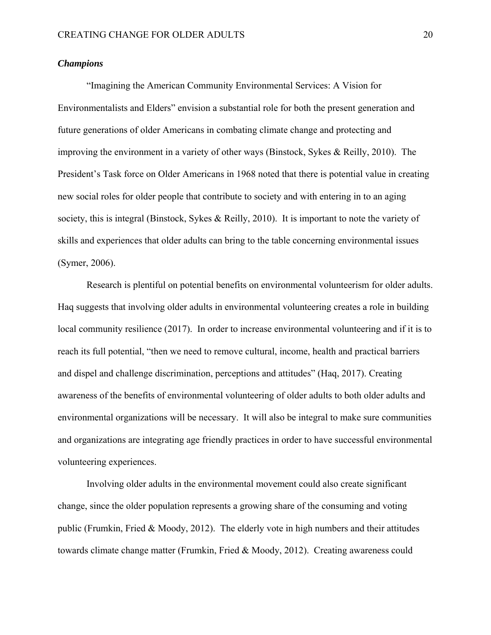## *Champions*

"Imagining the American Community Environmental Services: A Vision for Environmentalists and Elders" envision a substantial role for both the present generation and future generations of older Americans in combating climate change and protecting and improving the environment in a variety of other ways (Binstock, Sykes & Reilly, 2010). The President's Task force on Older Americans in 1968 noted that there is potential value in creating new social roles for older people that contribute to society and with entering in to an aging society, this is integral (Binstock, Sykes & Reilly, 2010). It is important to note the variety of skills and experiences that older adults can bring to the table concerning environmental issues (Symer, 2006).

Research is plentiful on potential benefits on environmental volunteerism for older adults. Haq suggests that involving older adults in environmental volunteering creates a role in building local community resilience (2017). In order to increase environmental volunteering and if it is to reach its full potential, "then we need to remove cultural, income, health and practical barriers and dispel and challenge discrimination, perceptions and attitudes" (Haq, 2017). Creating awareness of the benefits of environmental volunteering of older adults to both older adults and environmental organizations will be necessary. It will also be integral to make sure communities and organizations are integrating age friendly practices in order to have successful environmental volunteering experiences.

Involving older adults in the environmental movement could also create significant change, since the older population represents a growing share of the consuming and voting public (Frumkin, Fried & Moody, 2012). The elderly vote in high numbers and their attitudes towards climate change matter (Frumkin, Fried & Moody, 2012). Creating awareness could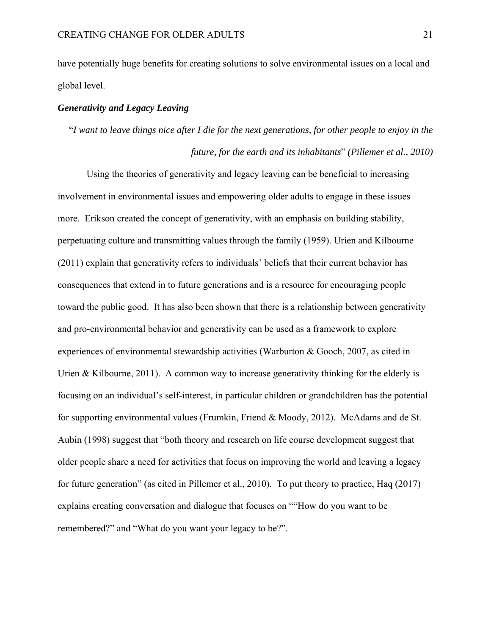have potentially huge benefits for creating solutions to solve environmental issues on a local and global level.

## *Generativity and Legacy Leaving*

"*I want to leave things nice after I die for the next generations, for other people to enjoy in the future, for the earth and its inhabitants*" *(Pillemer et al., 2010)*

Using the theories of generativity and legacy leaving can be beneficial to increasing involvement in environmental issues and empowering older adults to engage in these issues more. Erikson created the concept of generativity, with an emphasis on building stability, perpetuating culture and transmitting values through the family (1959). Urien and Kilbourne (2011) explain that generativity refers to individuals' beliefs that their current behavior has consequences that extend in to future generations and is a resource for encouraging people toward the public good. It has also been shown that there is a relationship between generativity and pro-environmental behavior and generativity can be used as a framework to explore experiences of environmental stewardship activities (Warburton & Gooch, 2007, as cited in Urien & Kilbourne, 2011). A common way to increase generativity thinking for the elderly is focusing on an individual's self-interest, in particular children or grandchildren has the potential for supporting environmental values (Frumkin, Friend & Moody, 2012). McAdams and de St. Aubin (1998) suggest that "both theory and research on life course development suggest that older people share a need for activities that focus on improving the world and leaving a legacy for future generation" (as cited in Pillemer et al., 2010). To put theory to practice, Haq (2017) explains creating conversation and dialogue that focuses on ""How do you want to be remembered?" and "What do you want your legacy to be?".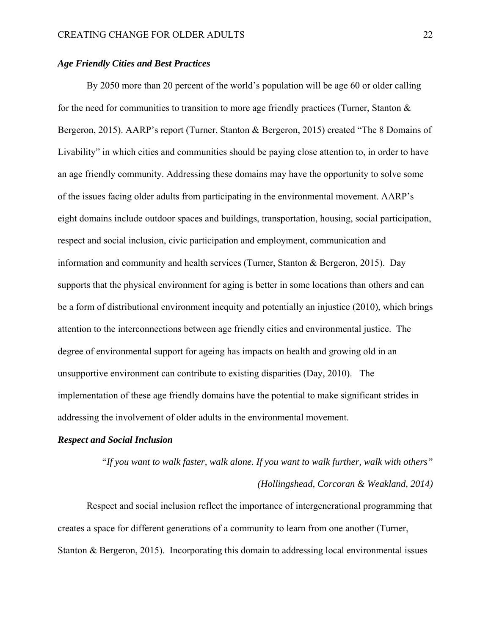## *Age Friendly Cities and Best Practices*

By 2050 more than 20 percent of the world's population will be age 60 or older calling for the need for communities to transition to more age friendly practices (Turner, Stanton & Bergeron, 2015). AARP's report (Turner, Stanton & Bergeron, 2015) created "The 8 Domains of Livability" in which cities and communities should be paying close attention to, in order to have an age friendly community. Addressing these domains may have the opportunity to solve some of the issues facing older adults from participating in the environmental movement. AARP's eight domains include outdoor spaces and buildings, transportation, housing, social participation, respect and social inclusion, civic participation and employment, communication and information and community and health services (Turner, Stanton & Bergeron, 2015). Day supports that the physical environment for aging is better in some locations than others and can be a form of distributional environment inequity and potentially an injustice (2010), which brings attention to the interconnections between age friendly cities and environmental justice. The degree of environmental support for ageing has impacts on health and growing old in an unsupportive environment can contribute to existing disparities (Day, 2010). The implementation of these age friendly domains have the potential to make significant strides in addressing the involvement of older adults in the environmental movement.

#### *Respect and Social Inclusion*

*"If you want to walk faster, walk alone. If you want to walk further, walk with others" (Hollingshead, Corcoran & Weakland, 2014)*

Respect and social inclusion reflect the importance of intergenerational programming that creates a space for different generations of a community to learn from one another (Turner, Stanton & Bergeron, 2015). Incorporating this domain to addressing local environmental issues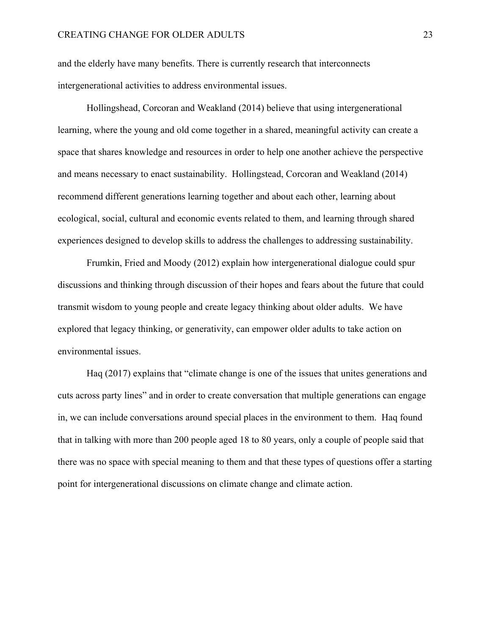and the elderly have many benefits. There is currently research that interconnects intergenerational activities to address environmental issues.

 Hollingshead, Corcoran and Weakland (2014) believe that using intergenerational learning, where the young and old come together in a shared, meaningful activity can create a space that shares knowledge and resources in order to help one another achieve the perspective and means necessary to enact sustainability. Hollingstead, Corcoran and Weakland (2014) recommend different generations learning together and about each other, learning about ecological, social, cultural and economic events related to them, and learning through shared experiences designed to develop skills to address the challenges to addressing sustainability.

Frumkin, Fried and Moody (2012) explain how intergenerational dialogue could spur discussions and thinking through discussion of their hopes and fears about the future that could transmit wisdom to young people and create legacy thinking about older adults. We have explored that legacy thinking, or generativity, can empower older adults to take action on environmental issues.

Haq (2017) explains that "climate change is one of the issues that unites generations and cuts across party lines" and in order to create conversation that multiple generations can engage in, we can include conversations around special places in the environment to them. Haq found that in talking with more than 200 people aged 18 to 80 years, only a couple of people said that there was no space with special meaning to them and that these types of questions offer a starting point for intergenerational discussions on climate change and climate action.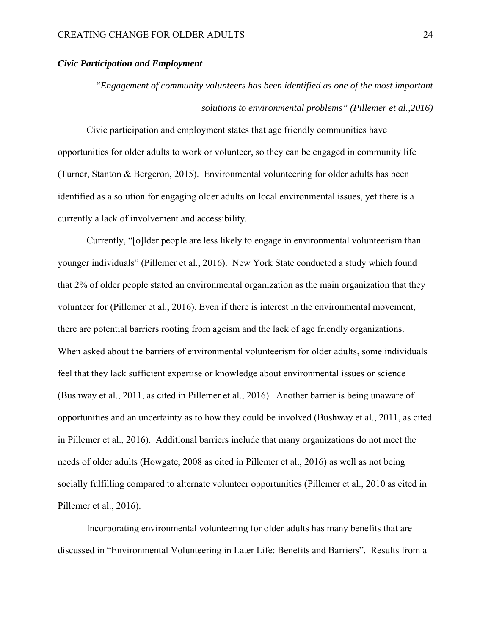## *Civic Participation and Employment*

*"Engagement of community volunteers has been identified as one of the most important solutions to environmental problems" (Pillemer et al.,2016)*

Civic participation and employment states that age friendly communities have opportunities for older adults to work or volunteer, so they can be engaged in community life (Turner, Stanton & Bergeron, 2015). Environmental volunteering for older adults has been identified as a solution for engaging older adults on local environmental issues, yet there is a currently a lack of involvement and accessibility.

Currently, "[o]lder people are less likely to engage in environmental volunteerism than younger individuals" (Pillemer et al., 2016). New York State conducted a study which found that 2% of older people stated an environmental organization as the main organization that they volunteer for (Pillemer et al., 2016). Even if there is interest in the environmental movement, there are potential barriers rooting from ageism and the lack of age friendly organizations. When asked about the barriers of environmental volunteerism for older adults, some individuals feel that they lack sufficient expertise or knowledge about environmental issues or science (Bushway et al., 2011, as cited in Pillemer et al., 2016). Another barrier is being unaware of opportunities and an uncertainty as to how they could be involved (Bushway et al., 2011, as cited in Pillemer et al., 2016). Additional barriers include that many organizations do not meet the needs of older adults (Howgate, 2008 as cited in Pillemer et al., 2016) as well as not being socially fulfilling compared to alternate volunteer opportunities (Pillemer et al., 2010 as cited in Pillemer et al., 2016).

Incorporating environmental volunteering for older adults has many benefits that are discussed in "Environmental Volunteering in Later Life: Benefits and Barriers". Results from a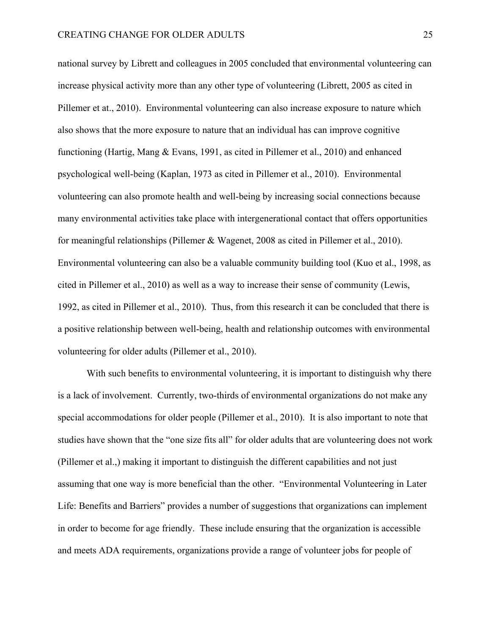national survey by Librett and colleagues in 2005 concluded that environmental volunteering can increase physical activity more than any other type of volunteering (Librett, 2005 as cited in Pillemer et at., 2010). Environmental volunteering can also increase exposure to nature which also shows that the more exposure to nature that an individual has can improve cognitive functioning (Hartig, Mang & Evans, 1991, as cited in Pillemer et al., 2010) and enhanced psychological well-being (Kaplan, 1973 as cited in Pillemer et al., 2010). Environmental volunteering can also promote health and well-being by increasing social connections because many environmental activities take place with intergenerational contact that offers opportunities for meaningful relationships (Pillemer & Wagenet, 2008 as cited in Pillemer et al., 2010). Environmental volunteering can also be a valuable community building tool (Kuo et al., 1998, as cited in Pillemer et al., 2010) as well as a way to increase their sense of community (Lewis, 1992, as cited in Pillemer et al., 2010). Thus, from this research it can be concluded that there is a positive relationship between well-being, health and relationship outcomes with environmental volunteering for older adults (Pillemer et al., 2010).

With such benefits to environmental volunteering, it is important to distinguish why there is a lack of involvement. Currently, two-thirds of environmental organizations do not make any special accommodations for older people (Pillemer et al., 2010). It is also important to note that studies have shown that the "one size fits all" for older adults that are volunteering does not work (Pillemer et al.,) making it important to distinguish the different capabilities and not just assuming that one way is more beneficial than the other. "Environmental Volunteering in Later Life: Benefits and Barriers" provides a number of suggestions that organizations can implement in order to become for age friendly. These include ensuring that the organization is accessible and meets ADA requirements, organizations provide a range of volunteer jobs for people of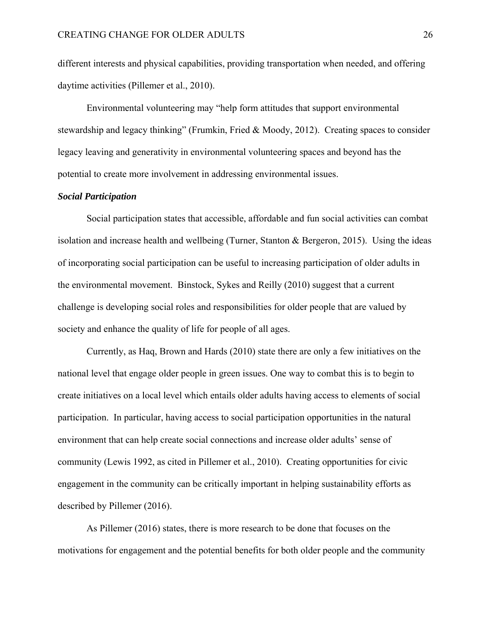different interests and physical capabilities, providing transportation when needed, and offering daytime activities (Pillemer et al., 2010).

Environmental volunteering may "help form attitudes that support environmental stewardship and legacy thinking" (Frumkin, Fried & Moody, 2012). Creating spaces to consider legacy leaving and generativity in environmental volunteering spaces and beyond has the potential to create more involvement in addressing environmental issues.

## *Social Participation*

Social participation states that accessible, affordable and fun social activities can combat isolation and increase health and wellbeing (Turner, Stanton & Bergeron, 2015). Using the ideas of incorporating social participation can be useful to increasing participation of older adults in the environmental movement. Binstock, Sykes and Reilly (2010) suggest that a current challenge is developing social roles and responsibilities for older people that are valued by society and enhance the quality of life for people of all ages.

Currently, as Haq, Brown and Hards (2010) state there are only a few initiatives on the national level that engage older people in green issues. One way to combat this is to begin to create initiatives on a local level which entails older adults having access to elements of social participation. In particular, having access to social participation opportunities in the natural environment that can help create social connections and increase older adults' sense of community (Lewis 1992, as cited in Pillemer et al., 2010). Creating opportunities for civic engagement in the community can be critically important in helping sustainability efforts as described by Pillemer (2016).

As Pillemer (2016) states, there is more research to be done that focuses on the motivations for engagement and the potential benefits for both older people and the community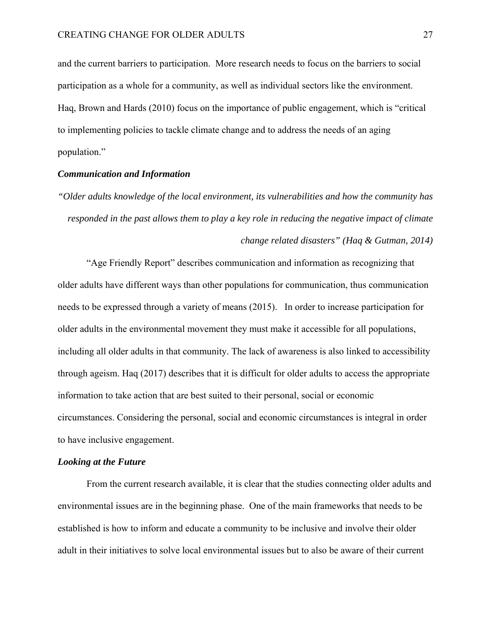and the current barriers to participation. More research needs to focus on the barriers to social participation as a whole for a community, as well as individual sectors like the environment. Haq, Brown and Hards (2010) focus on the importance of public engagement, which is "critical to implementing policies to tackle climate change and to address the needs of an aging population."

### *Communication and Information*

*"Older adults knowledge of the local environment, its vulnerabilities and how the community has responded in the past allows them to play a key role in reducing the negative impact of climate change related disasters" (Haq & Gutman, 2014)* 

 "Age Friendly Report" describes communication and information as recognizing that older adults have different ways than other populations for communication, thus communication needs to be expressed through a variety of means (2015). In order to increase participation for older adults in the environmental movement they must make it accessible for all populations, including all older adults in that community. The lack of awareness is also linked to accessibility through ageism. Haq (2017) describes that it is difficult for older adults to access the appropriate information to take action that are best suited to their personal, social or economic circumstances. Considering the personal, social and economic circumstances is integral in order to have inclusive engagement.

#### *Looking at the Future*

 From the current research available, it is clear that the studies connecting older adults and environmental issues are in the beginning phase. One of the main frameworks that needs to be established is how to inform and educate a community to be inclusive and involve their older adult in their initiatives to solve local environmental issues but to also be aware of their current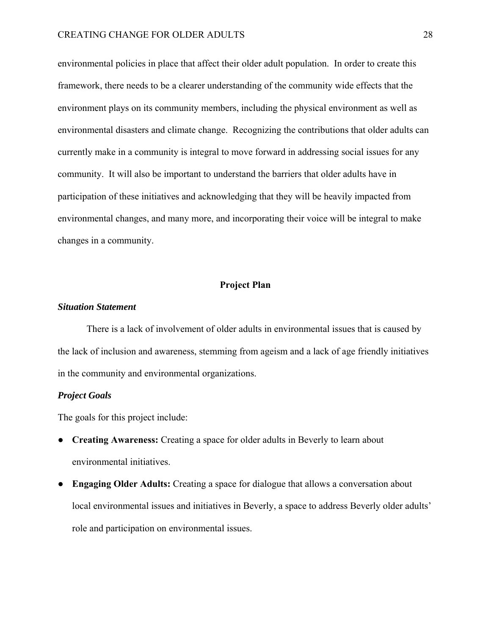environmental policies in place that affect their older adult population. In order to create this framework, there needs to be a clearer understanding of the community wide effects that the environment plays on its community members, including the physical environment as well as environmental disasters and climate change. Recognizing the contributions that older adults can currently make in a community is integral to move forward in addressing social issues for any community. It will also be important to understand the barriers that older adults have in participation of these initiatives and acknowledging that they will be heavily impacted from environmental changes, and many more, and incorporating their voice will be integral to make changes in a community.

#### **Project Plan**

#### *Situation Statement*

There is a lack of involvement of older adults in environmental issues that is caused by the lack of inclusion and awareness, stemming from ageism and a lack of age friendly initiatives in the community and environmental organizations.

#### *Project Goals*

The goals for this project include:

- **Creating Awareness:** Creating a space for older adults in Beverly to learn about environmental initiatives.
- **Engaging Older Adults:** Creating a space for dialogue that allows a conversation about local environmental issues and initiatives in Beverly, a space to address Beverly older adults' role and participation on environmental issues.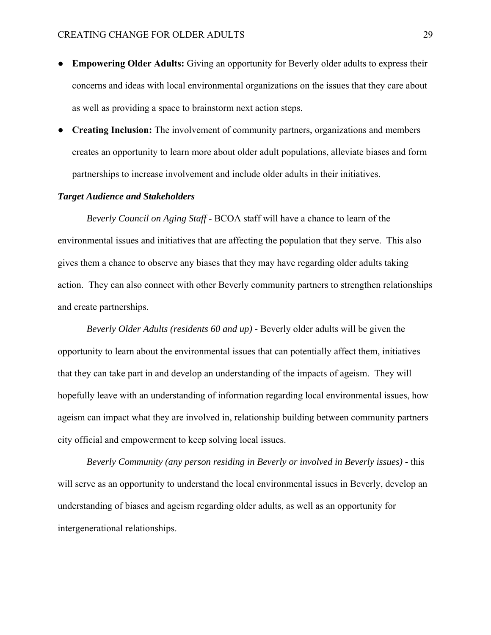- **Empowering Older Adults:** Giving an opportunity for Beverly older adults to express their concerns and ideas with local environmental organizations on the issues that they care about as well as providing a space to brainstorm next action steps.
- **Creating Inclusion:** The involvement of community partners, organizations and members creates an opportunity to learn more about older adult populations, alleviate biases and form partnerships to increase involvement and include older adults in their initiatives.

## *Target Audience and Stakeholders*

 *Beverly Council on Aging Staff* - BCOA staff will have a chance to learn of the environmental issues and initiatives that are affecting the population that they serve. This also gives them a chance to observe any biases that they may have regarding older adults taking action. They can also connect with other Beverly community partners to strengthen relationships and create partnerships.

*Beverly Older Adults (residents 60 and up)* - Beverly older adults will be given the opportunity to learn about the environmental issues that can potentially affect them, initiatives that they can take part in and develop an understanding of the impacts of ageism. They will hopefully leave with an understanding of information regarding local environmental issues, how ageism can impact what they are involved in, relationship building between community partners city official and empowerment to keep solving local issues.

 *Beverly Community (any person residing in Beverly or involved in Beverly issues) -* this will serve as an opportunity to understand the local environmental issues in Beverly, develop an understanding of biases and ageism regarding older adults, as well as an opportunity for intergenerational relationships.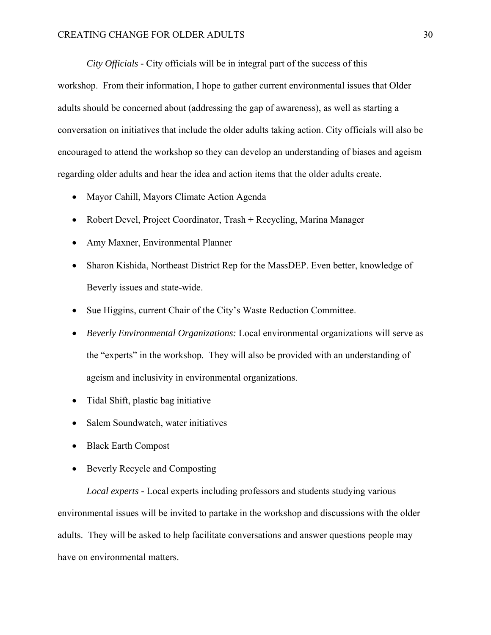*City Officials -* City officials will be in integral part of the success of this workshop. From their information, I hope to gather current environmental issues that Older adults should be concerned about (addressing the gap of awareness), as well as starting a conversation on initiatives that include the older adults taking action. City officials will also be encouraged to attend the workshop so they can develop an understanding of biases and ageism regarding older adults and hear the idea and action items that the older adults create.

- Mayor Cahill, Mayors Climate Action Agenda
- Robert Devel, Project Coordinator, Trash + Recycling, Marina Manager
- Amy Maxner, Environmental Planner
- Sharon Kishida, Northeast District Rep for the MassDEP. Even better, knowledge of Beverly issues and state-wide.
- Sue Higgins, current Chair of the City's Waste Reduction Committee.
- *Beverly Environmental Organizations:* Local environmental organizations will serve as the "experts" in the workshop. They will also be provided with an understanding of ageism and inclusivity in environmental organizations.
- Tidal Shift, plastic bag initiative
- Salem Soundwatch, water initiatives
- Black Earth Compost
- Beverly Recycle and Composting

 *Local experts -* Local experts including professors and students studying various environmental issues will be invited to partake in the workshop and discussions with the older adults. They will be asked to help facilitate conversations and answer questions people may have on environmental matters.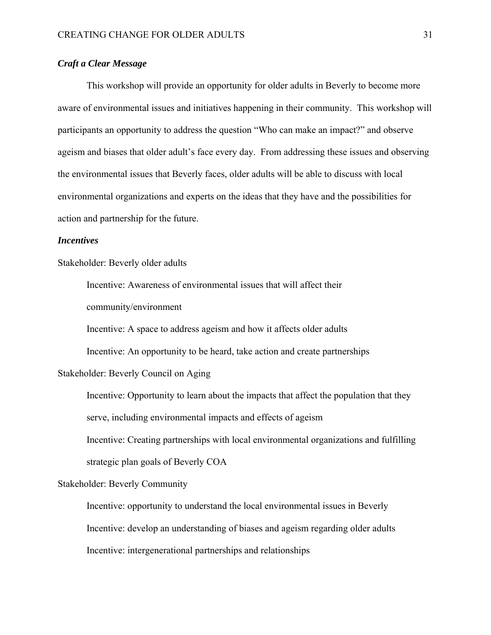## *Craft a Clear Message*

 This workshop will provide an opportunity for older adults in Beverly to become more aware of environmental issues and initiatives happening in their community. This workshop will participants an opportunity to address the question "Who can make an impact?" and observe ageism and biases that older adult's face every day. From addressing these issues and observing the environmental issues that Beverly faces, older adults will be able to discuss with local environmental organizations and experts on the ideas that they have and the possibilities for action and partnership for the future.

## *Incentives*

Stakeholder: Beverly older adults

Incentive: Awareness of environmental issues that will affect their

community/environment

Incentive: A space to address ageism and how it affects older adults

Incentive: An opportunity to be heard, take action and create partnerships

## Stakeholder: Beverly Council on Aging

Incentive: Opportunity to learn about the impacts that affect the population that they serve, including environmental impacts and effects of ageism Incentive: Creating partnerships with local environmental organizations and fulfilling strategic plan goals of Beverly COA

#### Stakeholder: Beverly Community

Incentive: opportunity to understand the local environmental issues in Beverly Incentive: develop an understanding of biases and ageism regarding older adults Incentive: intergenerational partnerships and relationships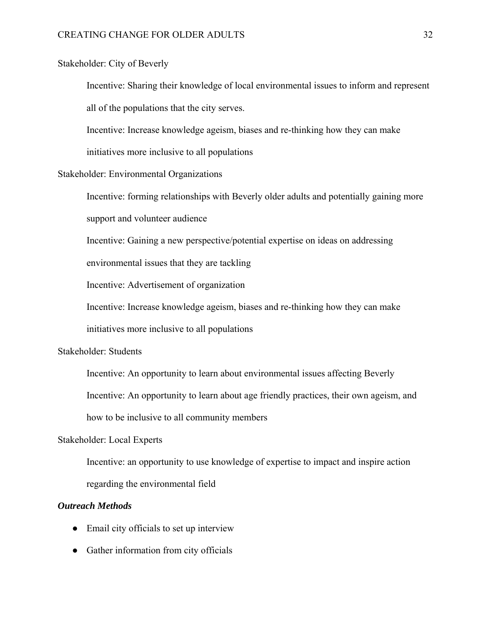## Stakeholder: City of Beverly

Incentive: Sharing their knowledge of local environmental issues to inform and represent all of the populations that the city serves.

Incentive: Increase knowledge ageism, biases and re-thinking how they can make

initiatives more inclusive to all populations

### Stakeholder: Environmental Organizations

Incentive: forming relationships with Beverly older adults and potentially gaining more support and volunteer audience

Incentive: Gaining a new perspective/potential expertise on ideas on addressing

environmental issues that they are tackling

Incentive: Advertisement of organization

Incentive: Increase knowledge ageism, biases and re-thinking how they can make

initiatives more inclusive to all populations

## Stakeholder: Students

Incentive: An opportunity to learn about environmental issues affecting Beverly

Incentive: An opportunity to learn about age friendly practices, their own ageism, and

how to be inclusive to all community members

#### Stakeholder: Local Experts

Incentive: an opportunity to use knowledge of expertise to impact and inspire action regarding the environmental field

## *Outreach Methods*

- Email city officials to set up interview
- Gather information from city officials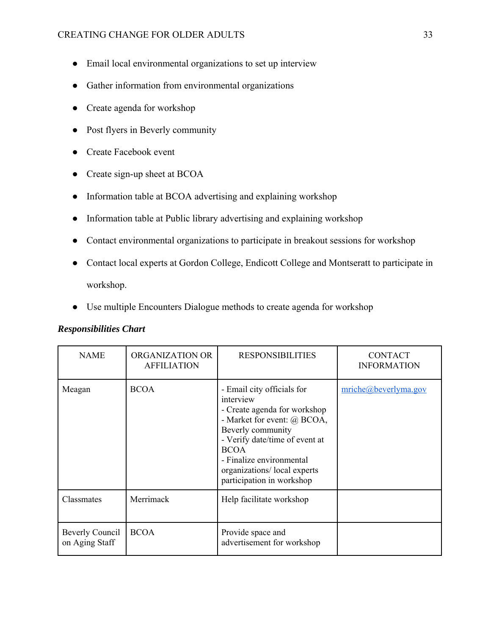- Email local environmental organizations to set up interview
- Gather information from environmental organizations
- Create agenda for workshop
- Post flyers in Beverly community
- Create Facebook event
- Create sign-up sheet at BCOA
- Information table at BCOA advertising and explaining workshop
- Information table at Public library advertising and explaining workshop
- Contact environmental organizations to participate in breakout sessions for workshop
- Contact local experts at Gordon College, Endicott College and Montseratt to participate in workshop.
- Use multiple Encounters Dialogue methods to create agenda for workshop

| <b>NAME</b>                       | ORGANIZATION OR<br><b>AFFILIATION</b> | <b>RESPONSIBILITIES</b>                                                                                                                                                                                                                                              | <b>CONTACT</b><br><b>INFORMATION</b>  |
|-----------------------------------|---------------------------------------|----------------------------------------------------------------------------------------------------------------------------------------------------------------------------------------------------------------------------------------------------------------------|---------------------------------------|
| Meagan                            | <b>BCOA</b>                           | - Email city officials for<br>interview<br>- Create agenda for workshop<br>- Market for event: @ BCOA,<br>Beverly community<br>- Verify date/time of event at<br><b>BCOA</b><br>- Finalize environmental<br>organizations/local experts<br>participation in workshop | $\text{mriche}(\omega)$ beverlyma.gov |
| Classmates                        | Merrimack                             | Help facilitate workshop                                                                                                                                                                                                                                             |                                       |
| Beverly Council<br>on Aging Staff | <b>BCOA</b>                           | Provide space and<br>advertisement for workshop                                                                                                                                                                                                                      |                                       |

## *Responsibilities Chart*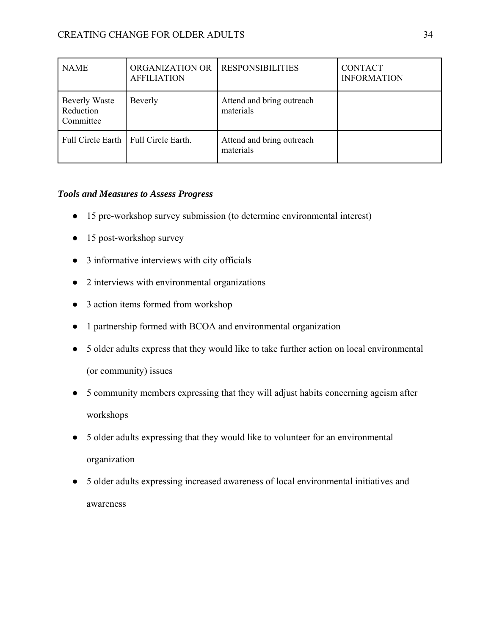| <b>NAME</b>                                    | ORGANIZATION OR<br><b>AFFILIATION</b>  | <b>RESPONSIBILITIES</b>                | <b>CONTACT</b><br><b>INFORMATION</b> |
|------------------------------------------------|----------------------------------------|----------------------------------------|--------------------------------------|
| <b>Beverly Waste</b><br>Reduction<br>Committee | Beverly                                | Attend and bring outreach<br>materials |                                      |
|                                                | Full Circle Earth   Full Circle Earth. | Attend and bring outreach<br>materials |                                      |

## *Tools and Measures to Assess Progress*

- 15 pre-workshop survey submission (to determine environmental interest)
- 15 post-workshop survey
- 3 informative interviews with city officials
- 2 interviews with environmental organizations
- 3 action items formed from workshop
- 1 partnership formed with BCOA and environmental organization
- 5 older adults express that they would like to take further action on local environmental (or community) issues
- 5 community members expressing that they will adjust habits concerning ageism after workshops
- 5 older adults expressing that they would like to volunteer for an environmental organization
- 5 older adults expressing increased awareness of local environmental initiatives and awareness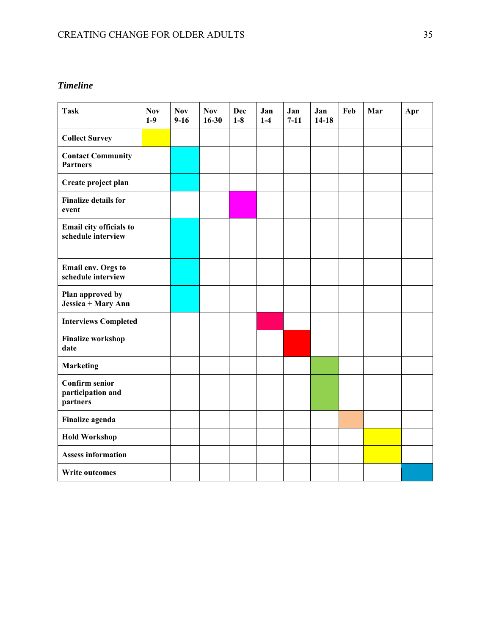## *Timeline*

| <b>Task</b>                                            | <b>Nov</b><br>$1-9$ | <b>Nov</b><br>$9-16$ | <b>Nov</b><br>$16 - 30$ | Dec<br>$1-8$ | Jan<br>$1-4$ | Jan<br>$7 - 11$ | Jan<br>$14-18$ | Feb | Mar | Apr |
|--------------------------------------------------------|---------------------|----------------------|-------------------------|--------------|--------------|-----------------|----------------|-----|-----|-----|
| <b>Collect Survey</b>                                  |                     |                      |                         |              |              |                 |                |     |     |     |
| <b>Contact Community</b><br><b>Partners</b>            |                     |                      |                         |              |              |                 |                |     |     |     |
| Create project plan                                    |                     |                      |                         |              |              |                 |                |     |     |     |
| <b>Finalize details for</b><br>event                   |                     |                      |                         |              |              |                 |                |     |     |     |
| Email city officials to<br>schedule interview          |                     |                      |                         |              |              |                 |                |     |     |     |
| Email env. Orgs to<br>schedule interview               |                     |                      |                         |              |              |                 |                |     |     |     |
| Plan approved by<br>Jessica + Mary Ann                 |                     |                      |                         |              |              |                 |                |     |     |     |
| <b>Interviews Completed</b>                            |                     |                      |                         |              |              |                 |                |     |     |     |
| <b>Finalize workshop</b><br>date                       |                     |                      |                         |              |              |                 |                |     |     |     |
| <b>Marketing</b>                                       |                     |                      |                         |              |              |                 |                |     |     |     |
| <b>Confirm senior</b><br>participation and<br>partners |                     |                      |                         |              |              |                 |                |     |     |     |
| Finalize agenda                                        |                     |                      |                         |              |              |                 |                |     |     |     |
| <b>Hold Workshop</b>                                   |                     |                      |                         |              |              |                 |                |     |     |     |
| <b>Assess information</b>                              |                     |                      |                         |              |              |                 |                |     |     |     |
| <b>Write outcomes</b>                                  |                     |                      |                         |              |              |                 |                |     |     |     |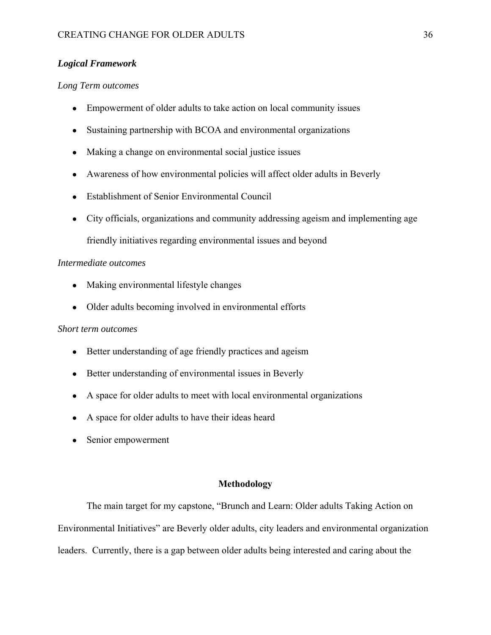## *Logical Framework*

## *Long Term outcomes*

- Empowerment of older adults to take action on local community issues
- Sustaining partnership with BCOA and environmental organizations
- Making a change on environmental social justice issues
- Awareness of how environmental policies will affect older adults in Beverly
- Establishment of Senior Environmental Council
- City officials, organizations and community addressing ageism and implementing age friendly initiatives regarding environmental issues and beyond

## *Intermediate outcomes*

- Making environmental lifestyle changes
- Older adults becoming involved in environmental efforts

#### *Short term outcomes*

- Better understanding of age friendly practices and ageism
- Better understanding of environmental issues in Beverly
- A space for older adults to meet with local environmental organizations
- A space for older adults to have their ideas heard
- Senior empowerment

#### **Methodology**

The main target for my capstone, "Brunch and Learn: Older adults Taking Action on Environmental Initiatives" are Beverly older adults, city leaders and environmental organization leaders. Currently, there is a gap between older adults being interested and caring about the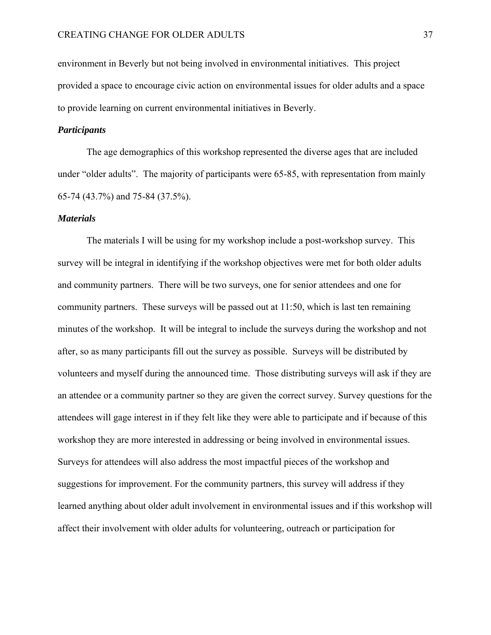environment in Beverly but not being involved in environmental initiatives. This project provided a space to encourage civic action on environmental issues for older adults and a space to provide learning on current environmental initiatives in Beverly.

## *Participants*

 The age demographics of this workshop represented the diverse ages that are included under "older adults". The majority of participants were 65-85, with representation from mainly 65-74 (43.7%) and 75-84 (37.5%).

#### *Materials*

 The materials I will be using for my workshop include a post-workshop survey. This survey will be integral in identifying if the workshop objectives were met for both older adults and community partners. There will be two surveys, one for senior attendees and one for community partners. These surveys will be passed out at 11:50, which is last ten remaining minutes of the workshop. It will be integral to include the surveys during the workshop and not after, so as many participants fill out the survey as possible. Surveys will be distributed by volunteers and myself during the announced time. Those distributing surveys will ask if they are an attendee or a community partner so they are given the correct survey. Survey questions for the attendees will gage interest in if they felt like they were able to participate and if because of this workshop they are more interested in addressing or being involved in environmental issues. Surveys for attendees will also address the most impactful pieces of the workshop and suggestions for improvement. For the community partners, this survey will address if they learned anything about older adult involvement in environmental issues and if this workshop will affect their involvement with older adults for volunteering, outreach or participation for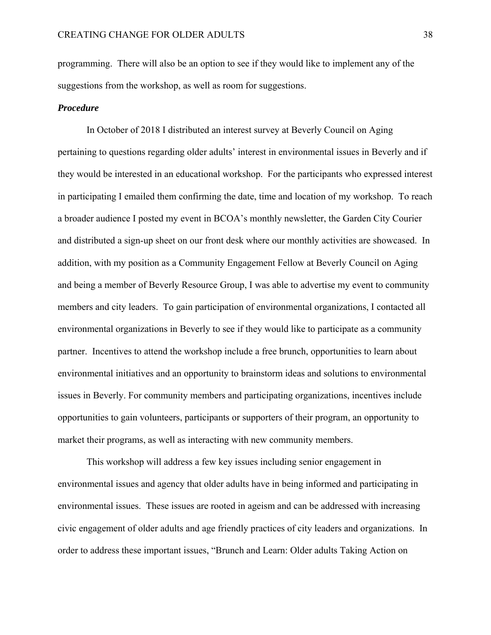programming. There will also be an option to see if they would like to implement any of the suggestions from the workshop, as well as room for suggestions.

#### *Procedure*

In October of 2018 I distributed an interest survey at Beverly Council on Aging pertaining to questions regarding older adults' interest in environmental issues in Beverly and if they would be interested in an educational workshop. For the participants who expressed interest in participating I emailed them confirming the date, time and location of my workshop. To reach a broader audience I posted my event in BCOA's monthly newsletter, the Garden City Courier and distributed a sign-up sheet on our front desk where our monthly activities are showcased. In addition, with my position as a Community Engagement Fellow at Beverly Council on Aging and being a member of Beverly Resource Group, I was able to advertise my event to community members and city leaders. To gain participation of environmental organizations, I contacted all environmental organizations in Beverly to see if they would like to participate as a community partner. Incentives to attend the workshop include a free brunch, opportunities to learn about environmental initiatives and an opportunity to brainstorm ideas and solutions to environmental issues in Beverly. For community members and participating organizations, incentives include opportunities to gain volunteers, participants or supporters of their program, an opportunity to market their programs, as well as interacting with new community members.

 This workshop will address a few key issues including senior engagement in environmental issues and agency that older adults have in being informed and participating in environmental issues. These issues are rooted in ageism and can be addressed with increasing civic engagement of older adults and age friendly practices of city leaders and organizations. In order to address these important issues, "Brunch and Learn: Older adults Taking Action on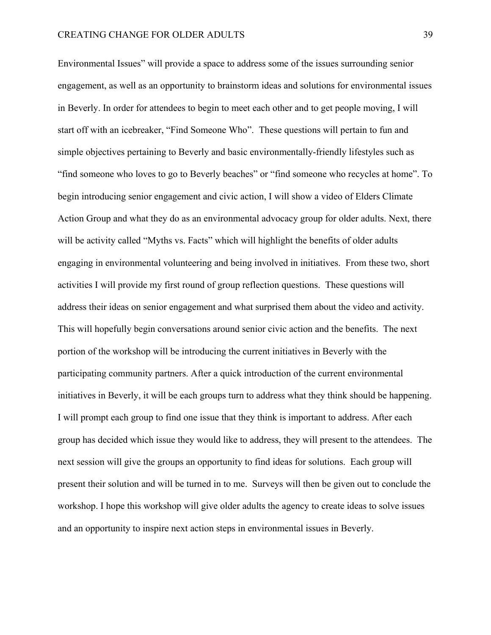Environmental Issues" will provide a space to address some of the issues surrounding senior engagement, as well as an opportunity to brainstorm ideas and solutions for environmental issues in Beverly. In order for attendees to begin to meet each other and to get people moving, I will start off with an icebreaker, "Find Someone Who". These questions will pertain to fun and simple objectives pertaining to Beverly and basic environmentally-friendly lifestyles such as "find someone who loves to go to Beverly beaches" or "find someone who recycles at home". To begin introducing senior engagement and civic action, I will show a video of Elders Climate Action Group and what they do as an environmental advocacy group for older adults. Next, there will be activity called "Myths vs. Facts" which will highlight the benefits of older adults engaging in environmental volunteering and being involved in initiatives. From these two, short activities I will provide my first round of group reflection questions. These questions will address their ideas on senior engagement and what surprised them about the video and activity. This will hopefully begin conversations around senior civic action and the benefits. The next portion of the workshop will be introducing the current initiatives in Beverly with the participating community partners. After a quick introduction of the current environmental initiatives in Beverly, it will be each groups turn to address what they think should be happening. I will prompt each group to find one issue that they think is important to address. After each group has decided which issue they would like to address, they will present to the attendees. The next session will give the groups an opportunity to find ideas for solutions. Each group will present their solution and will be turned in to me. Surveys will then be given out to conclude the workshop. I hope this workshop will give older adults the agency to create ideas to solve issues and an opportunity to inspire next action steps in environmental issues in Beverly.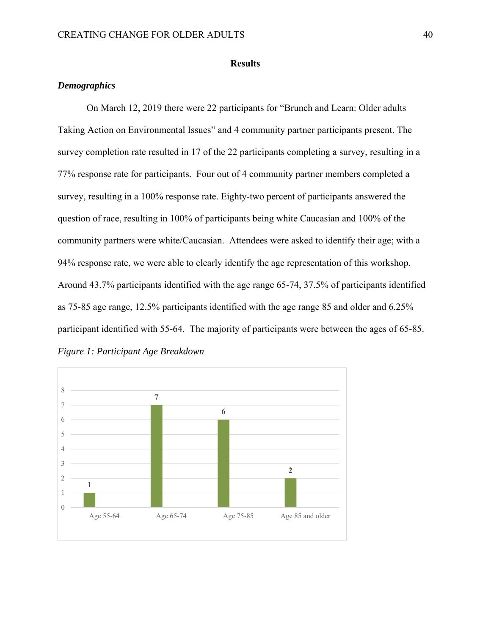### **Results**

## *Demographics*

On March 12, 2019 there were 22 participants for "Brunch and Learn: Older adults Taking Action on Environmental Issues" and 4 community partner participants present. The survey completion rate resulted in 17 of the 22 participants completing a survey, resulting in a 77% response rate for participants. Four out of 4 community partner members completed a survey, resulting in a 100% response rate. Eighty-two percent of participants answered the question of race, resulting in 100% of participants being white Caucasian and 100% of the community partners were white/Caucasian. Attendees were asked to identify their age; with a 94% response rate, we were able to clearly identify the age representation of this workshop. Around 43.7% participants identified with the age range 65-74, 37.5% of participants identified as 75-85 age range, 12.5% participants identified with the age range 85 and older and 6.25% participant identified with 55-64. The majority of participants were between the ages of 65-85. *Figure 1: Participant Age Breakdown* 

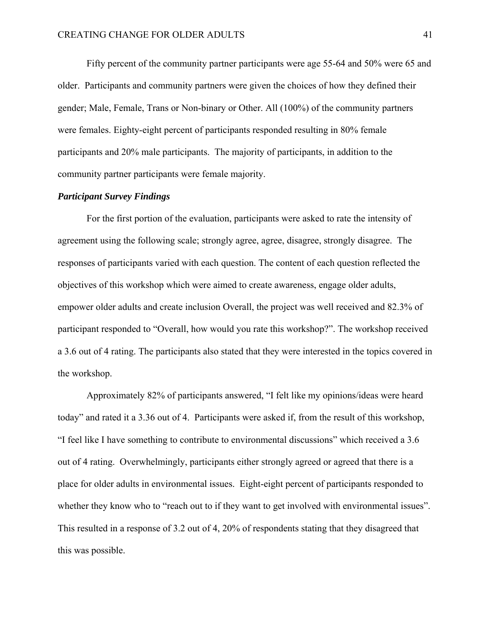Fifty percent of the community partner participants were age 55-64 and 50% were 65 and older. Participants and community partners were given the choices of how they defined their gender; Male, Female, Trans or Non-binary or Other. All (100%) of the community partners were females. Eighty-eight percent of participants responded resulting in 80% female participants and 20% male participants. The majority of participants, in addition to the community partner participants were female majority.

## *Participant Survey Findings*

For the first portion of the evaluation, participants were asked to rate the intensity of agreement using the following scale; strongly agree, agree, disagree, strongly disagree. The responses of participants varied with each question. The content of each question reflected the objectives of this workshop which were aimed to create awareness, engage older adults, empower older adults and create inclusion Overall, the project was well received and 82.3% of participant responded to "Overall, how would you rate this workshop?". The workshop received a 3.6 out of 4 rating. The participants also stated that they were interested in the topics covered in the workshop.

Approximately 82% of participants answered, "I felt like my opinions/ideas were heard today" and rated it a 3.36 out of 4. Participants were asked if, from the result of this workshop, "I feel like I have something to contribute to environmental discussions" which received a 3.6 out of 4 rating. Overwhelmingly, participants either strongly agreed or agreed that there is a place for older adults in environmental issues. Eight-eight percent of participants responded to whether they know who to "reach out to if they want to get involved with environmental issues". This resulted in a response of 3.2 out of 4, 20% of respondents stating that they disagreed that this was possible.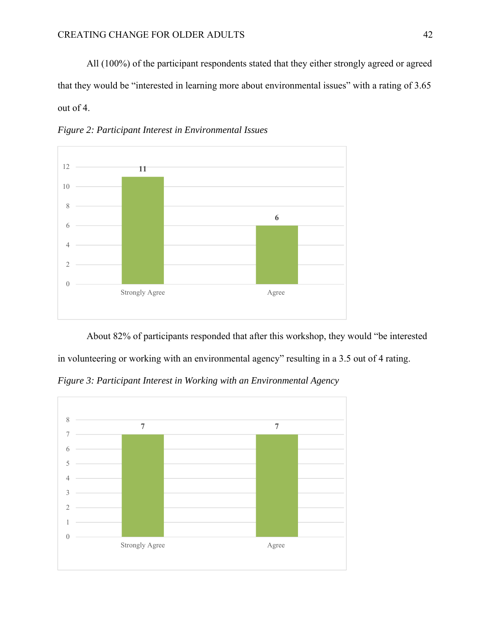All (100%) of the participant respondents stated that they either strongly agreed or agreed that they would be "interested in learning more about environmental issues" with a rating of 3.65 out of 4.



*Figure 2: Participant Interest in Environmental Issues* 

About 82% of participants responded that after this workshop, they would "be interested in volunteering or working with an environmental agency" resulting in a 3.5 out of 4 rating.

*Figure 3: Participant Interest in Working with an Environmental Agency* 

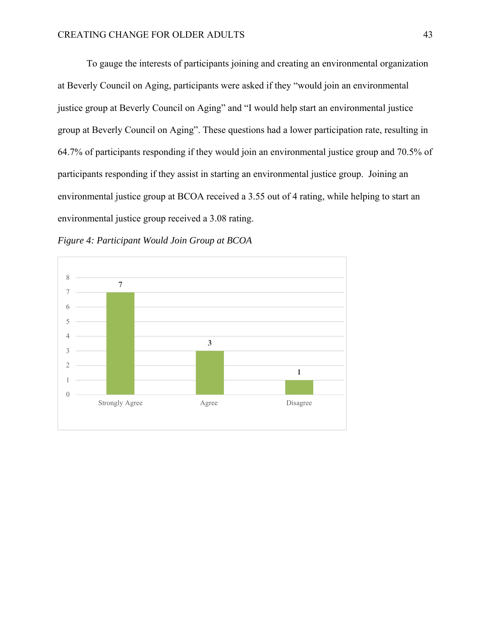To gauge the interests of participants joining and creating an environmental organization at Beverly Council on Aging, participants were asked if they "would join an environmental justice group at Beverly Council on Aging" and "I would help start an environmental justice group at Beverly Council on Aging". These questions had a lower participation rate, resulting in 64.7% of participants responding if they would join an environmental justice group and 70.5% of participants responding if they assist in starting an environmental justice group. Joining an environmental justice group at BCOA received a 3.55 out of 4 rating, while helping to start an environmental justice group received a 3.08 rating.



*Figure 4: Participant Would Join Group at BCOA*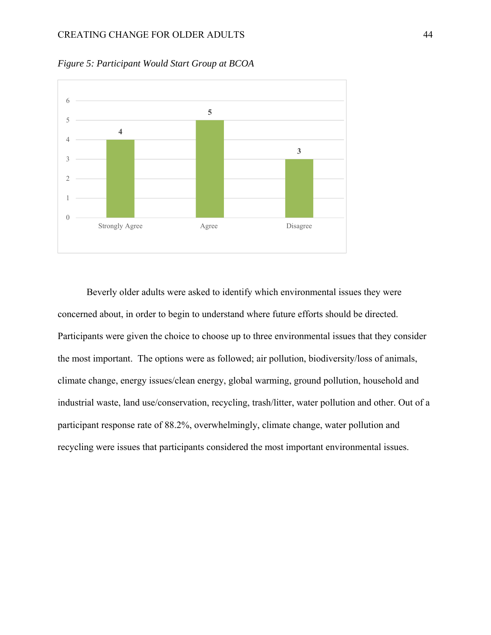

*Figure 5: Participant Would Start Group at BCOA* 

Beverly older adults were asked to identify which environmental issues they were concerned about, in order to begin to understand where future efforts should be directed. Participants were given the choice to choose up to three environmental issues that they consider the most important. The options were as followed; air pollution, biodiversity/loss of animals, climate change, energy issues/clean energy, global warming, ground pollution, household and industrial waste, land use/conservation, recycling, trash/litter, water pollution and other. Out of a participant response rate of 88.2%, overwhelmingly, climate change, water pollution and recycling were issues that participants considered the most important environmental issues.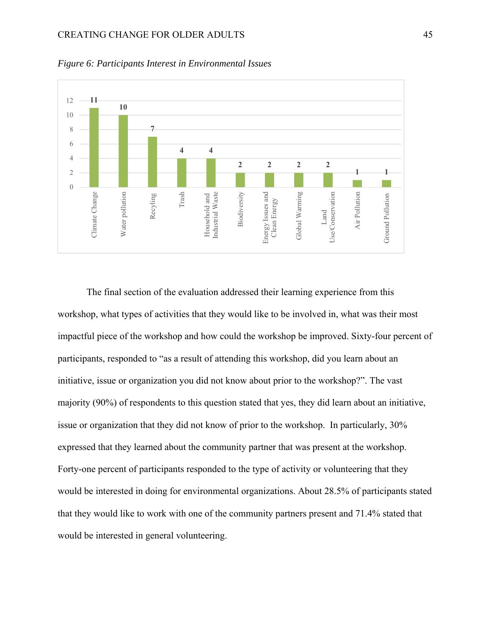### CREATING CHANGE FOR OLDER ADULTS 45



*Figure 6: Participants Interest in Environmental Issues* 

The final section of the evaluation addressed their learning experience from this workshop, what types of activities that they would like to be involved in, what was their most impactful piece of the workshop and how could the workshop be improved. Sixty-four percent of participants, responded to "as a result of attending this workshop, did you learn about an initiative, issue or organization you did not know about prior to the workshop?". The vast majority (90%) of respondents to this question stated that yes, they did learn about an initiative, issue or organization that they did not know of prior to the workshop. In particularly, 30% expressed that they learned about the community partner that was present at the workshop. Forty-one percent of participants responded to the type of activity or volunteering that they would be interested in doing for environmental organizations. About 28.5% of participants stated that they would like to work with one of the community partners present and 71.4% stated that would be interested in general volunteering.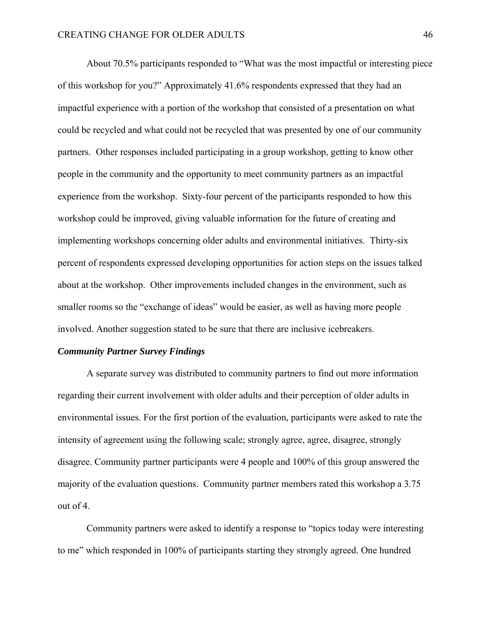About 70.5% participants responded to "What was the most impactful or interesting piece of this workshop for you?" Approximately 41.6% respondents expressed that they had an impactful experience with a portion of the workshop that consisted of a presentation on what could be recycled and what could not be recycled that was presented by one of our community partners. Other responses included participating in a group workshop, getting to know other people in the community and the opportunity to meet community partners as an impactful experience from the workshop. Sixty-four percent of the participants responded to how this workshop could be improved, giving valuable information for the future of creating and implementing workshops concerning older adults and environmental initiatives. Thirty-six percent of respondents expressed developing opportunities for action steps on the issues talked about at the workshop. Other improvements included changes in the environment, such as smaller rooms so the "exchange of ideas" would be easier, as well as having more people involved. Another suggestion stated to be sure that there are inclusive icebreakers.

#### *Community Partner Survey Findings*

A separate survey was distributed to community partners to find out more information regarding their current involvement with older adults and their perception of older adults in environmental issues. For the first portion of the evaluation, participants were asked to rate the intensity of agreement using the following scale; strongly agree, agree, disagree, strongly disagree. Community partner participants were 4 people and 100% of this group answered the majority of the evaluation questions. Community partner members rated this workshop a 3.75 out of 4.

Community partners were asked to identify a response to "topics today were interesting to me" which responded in 100% of participants starting they strongly agreed. One hundred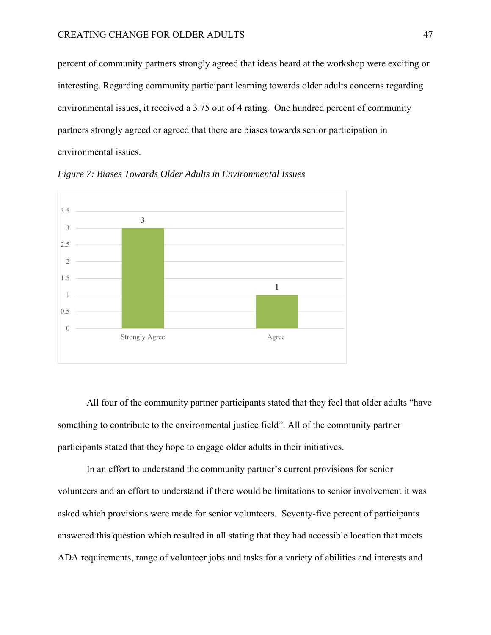percent of community partners strongly agreed that ideas heard at the workshop were exciting or interesting. Regarding community participant learning towards older adults concerns regarding environmental issues, it received a 3.75 out of 4 rating. One hundred percent of community partners strongly agreed or agreed that there are biases towards senior participation in environmental issues.



*Figure 7: Biases Towards Older Adults in Environmental Issues* 

All four of the community partner participants stated that they feel that older adults "have something to contribute to the environmental justice field". All of the community partner participants stated that they hope to engage older adults in their initiatives.

In an effort to understand the community partner's current provisions for senior volunteers and an effort to understand if there would be limitations to senior involvement it was asked which provisions were made for senior volunteers. Seventy-five percent of participants answered this question which resulted in all stating that they had accessible location that meets ADA requirements, range of volunteer jobs and tasks for a variety of abilities and interests and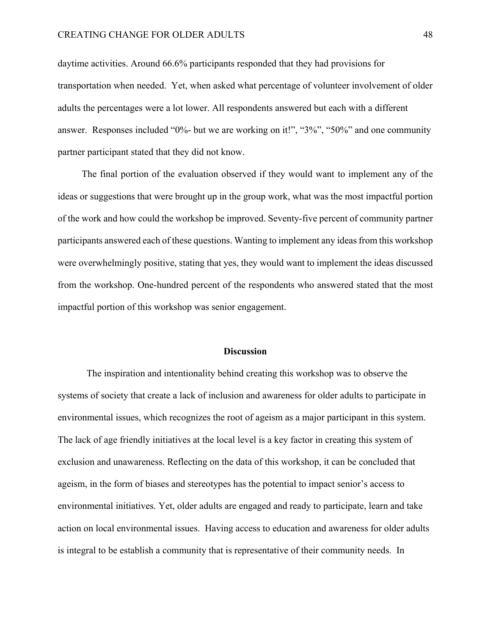daytime activities. Around 66.6% participants responded that they had provisions for transportation when needed. Yet, when asked what percentage of volunteer involvement of older adults the percentages were a lot lower. All respondents answered but each with a different answer. Responses included "0%- but we are working on it!", "3%", "50%" and one community partner participant stated that they did not know.

 The final portion of the evaluation observed if they would want to implement any of the ideas or suggestions that were brought up in the group work, what was the most impactful portion of the work and how could the workshop be improved. Seventy-five percent of community partner participants answered each of these questions. Wanting to implement any ideas from this workshop were overwhelmingly positive, stating that yes, they would want to implement the ideas discussed from the workshop. One-hundred percent of the respondents who answered stated that the most impactful portion of this workshop was senior engagement.

#### **Discussion**

The inspiration and intentionality behind creating this workshop was to observe the systems of society that create a lack of inclusion and awareness for older adults to participate in environmental issues, which recognizes the root of ageism as a major participant in this system. The lack of age friendly initiatives at the local level is a key factor in creating this system of exclusion and unawareness. Reflecting on the data of this workshop, it can be concluded that ageism, in the form of biases and stereotypes has the potential to impact senior's access to environmental initiatives. Yet, older adults are engaged and ready to participate, learn and take action on local environmental issues. Having access to education and awareness for older adults is integral to be establish a community that is representative of their community needs. In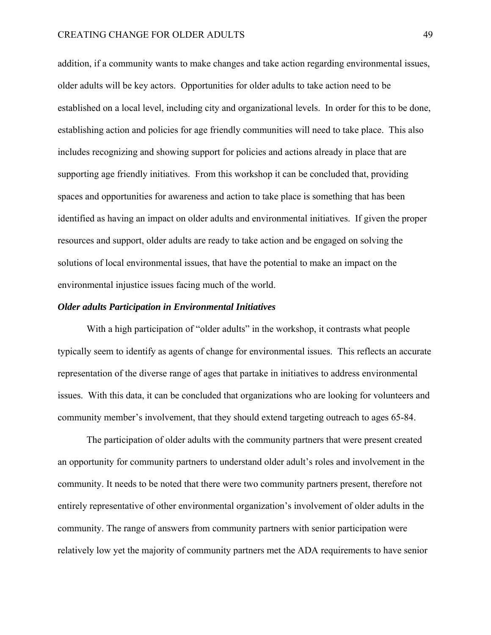## CREATING CHANGE FOR OLDER ADULTS 49

addition, if a community wants to make changes and take action regarding environmental issues, older adults will be key actors. Opportunities for older adults to take action need to be established on a local level, including city and organizational levels. In order for this to be done, establishing action and policies for age friendly communities will need to take place. This also includes recognizing and showing support for policies and actions already in place that are supporting age friendly initiatives. From this workshop it can be concluded that, providing spaces and opportunities for awareness and action to take place is something that has been identified as having an impact on older adults and environmental initiatives. If given the proper resources and support, older adults are ready to take action and be engaged on solving the solutions of local environmental issues, that have the potential to make an impact on the environmental injustice issues facing much of the world.

#### *Older adults Participation in Environmental Initiatives*

With a high participation of "older adults" in the workshop, it contrasts what people typically seem to identify as agents of change for environmental issues. This reflects an accurate representation of the diverse range of ages that partake in initiatives to address environmental issues. With this data, it can be concluded that organizations who are looking for volunteers and community member's involvement, that they should extend targeting outreach to ages 65-84.

The participation of older adults with the community partners that were present created an opportunity for community partners to understand older adult's roles and involvement in the community. It needs to be noted that there were two community partners present, therefore not entirely representative of other environmental organization's involvement of older adults in the community. The range of answers from community partners with senior participation were relatively low yet the majority of community partners met the ADA requirements to have senior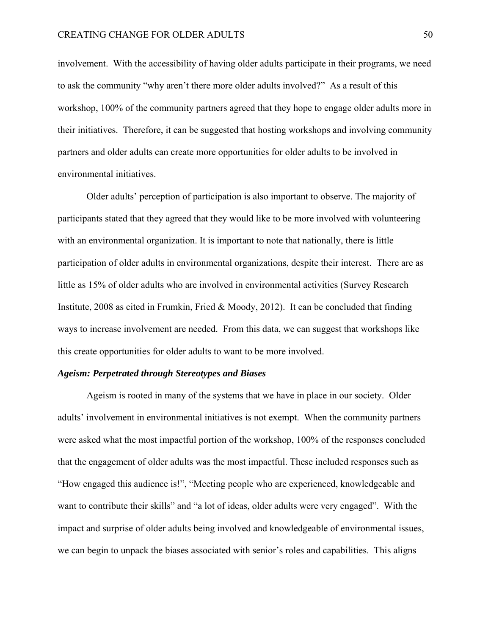involvement. With the accessibility of having older adults participate in their programs, we need to ask the community "why aren't there more older adults involved?" As a result of this workshop, 100% of the community partners agreed that they hope to engage older adults more in their initiatives. Therefore, it can be suggested that hosting workshops and involving community partners and older adults can create more opportunities for older adults to be involved in environmental initiatives.

 Older adults' perception of participation is also important to observe. The majority of participants stated that they agreed that they would like to be more involved with volunteering with an environmental organization. It is important to note that nationally, there is little participation of older adults in environmental organizations, despite their interest. There are as little as 15% of older adults who are involved in environmental activities (Survey Research Institute, 2008 as cited in Frumkin, Fried & Moody, 2012). It can be concluded that finding ways to increase involvement are needed. From this data, we can suggest that workshops like this create opportunities for older adults to want to be more involved.

### *Ageism: Perpetrated through Stereotypes and Biases*

Ageism is rooted in many of the systems that we have in place in our society. Older adults' involvement in environmental initiatives is not exempt. When the community partners were asked what the most impactful portion of the workshop, 100% of the responses concluded that the engagement of older adults was the most impactful. These included responses such as "How engaged this audience is!", "Meeting people who are experienced, knowledgeable and want to contribute their skills" and "a lot of ideas, older adults were very engaged". With the impact and surprise of older adults being involved and knowledgeable of environmental issues, we can begin to unpack the biases associated with senior's roles and capabilities. This aligns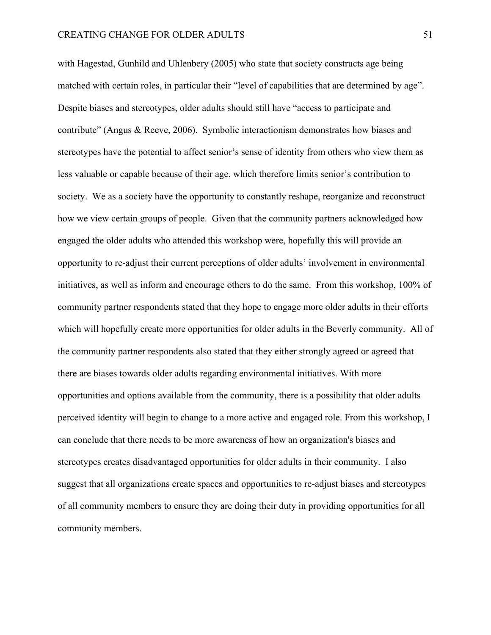with Hagestad, Gunhild and Uhlenbery (2005) who state that society constructs age being matched with certain roles, in particular their "level of capabilities that are determined by age". Despite biases and stereotypes, older adults should still have "access to participate and contribute" (Angus & Reeve, 2006). Symbolic interactionism demonstrates how biases and stereotypes have the potential to affect senior's sense of identity from others who view them as less valuable or capable because of their age, which therefore limits senior's contribution to society. We as a society have the opportunity to constantly reshape, reorganize and reconstruct how we view certain groups of people. Given that the community partners acknowledged how engaged the older adults who attended this workshop were, hopefully this will provide an opportunity to re-adjust their current perceptions of older adults' involvement in environmental initiatives, as well as inform and encourage others to do the same. From this workshop, 100% of community partner respondents stated that they hope to engage more older adults in their efforts which will hopefully create more opportunities for older adults in the Beverly community. All of the community partner respondents also stated that they either strongly agreed or agreed that there are biases towards older adults regarding environmental initiatives. With more opportunities and options available from the community, there is a possibility that older adults perceived identity will begin to change to a more active and engaged role. From this workshop, I can conclude that there needs to be more awareness of how an organization's biases and stereotypes creates disadvantaged opportunities for older adults in their community. I also suggest that all organizations create spaces and opportunities to re-adjust biases and stereotypes of all community members to ensure they are doing their duty in providing opportunities for all community members.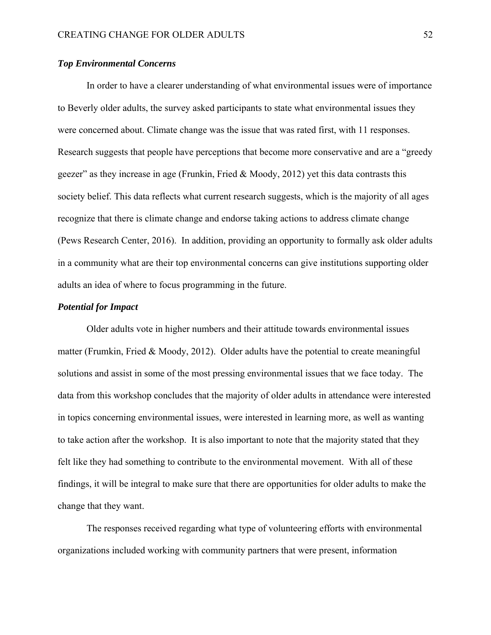## *Top Environmental Concerns*

 In order to have a clearer understanding of what environmental issues were of importance to Beverly older adults, the survey asked participants to state what environmental issues they were concerned about. Climate change was the issue that was rated first, with 11 responses. Research suggests that people have perceptions that become more conservative and are a "greedy geezer" as they increase in age (Frunkin, Fried & Moody, 2012) yet this data contrasts this society belief. This data reflects what current research suggests, which is the majority of all ages recognize that there is climate change and endorse taking actions to address climate change (Pews Research Center, 2016). In addition, providing an opportunity to formally ask older adults in a community what are their top environmental concerns can give institutions supporting older adults an idea of where to focus programming in the future.

## *Potential for Impact*

Older adults vote in higher numbers and their attitude towards environmental issues matter (Frumkin, Fried & Moody, 2012). Older adults have the potential to create meaningful solutions and assist in some of the most pressing environmental issues that we face today. The data from this workshop concludes that the majority of older adults in attendance were interested in topics concerning environmental issues, were interested in learning more, as well as wanting to take action after the workshop. It is also important to note that the majority stated that they felt like they had something to contribute to the environmental movement. With all of these findings, it will be integral to make sure that there are opportunities for older adults to make the change that they want.

The responses received regarding what type of volunteering efforts with environmental organizations included working with community partners that were present, information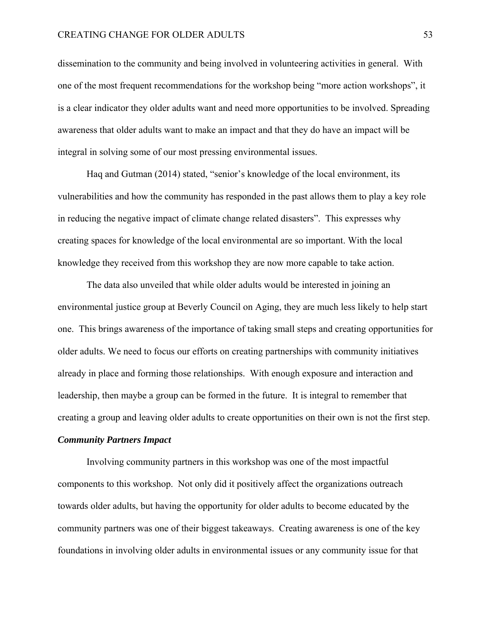dissemination to the community and being involved in volunteering activities in general. With one of the most frequent recommendations for the workshop being "more action workshops", it is a clear indicator they older adults want and need more opportunities to be involved. Spreading awareness that older adults want to make an impact and that they do have an impact will be integral in solving some of our most pressing environmental issues.

 Haq and Gutman (2014) stated, "senior's knowledge of the local environment, its vulnerabilities and how the community has responded in the past allows them to play a key role in reducing the negative impact of climate change related disasters". This expresses why creating spaces for knowledge of the local environmental are so important. With the local knowledge they received from this workshop they are now more capable to take action.

 The data also unveiled that while older adults would be interested in joining an environmental justice group at Beverly Council on Aging, they are much less likely to help start one. This brings awareness of the importance of taking small steps and creating opportunities for older adults. We need to focus our efforts on creating partnerships with community initiatives already in place and forming those relationships. With enough exposure and interaction and leadership, then maybe a group can be formed in the future. It is integral to remember that creating a group and leaving older adults to create opportunities on their own is not the first step. *Community Partners Impact* 

Involving community partners in this workshop was one of the most impactful components to this workshop. Not only did it positively affect the organizations outreach towards older adults, but having the opportunity for older adults to become educated by the community partners was one of their biggest takeaways. Creating awareness is one of the key foundations in involving older adults in environmental issues or any community issue for that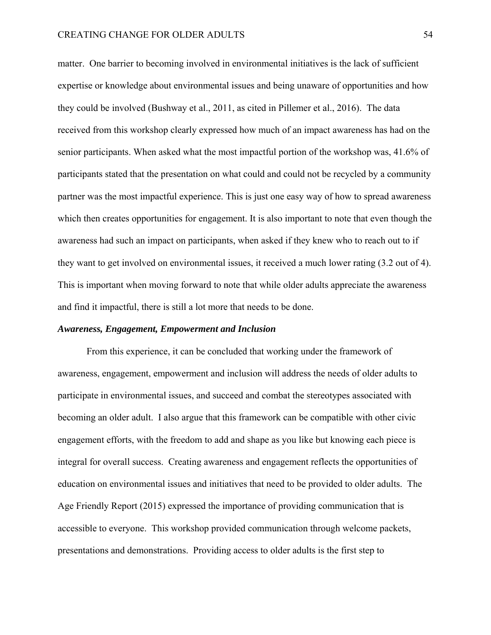matter. One barrier to becoming involved in environmental initiatives is the lack of sufficient expertise or knowledge about environmental issues and being unaware of opportunities and how they could be involved (Bushway et al., 2011, as cited in Pillemer et al., 2016). The data received from this workshop clearly expressed how much of an impact awareness has had on the senior participants. When asked what the most impactful portion of the workshop was, 41.6% of participants stated that the presentation on what could and could not be recycled by a community partner was the most impactful experience. This is just one easy way of how to spread awareness which then creates opportunities for engagement. It is also important to note that even though the awareness had such an impact on participants, when asked if they knew who to reach out to if they want to get involved on environmental issues, it received a much lower rating (3.2 out of 4). This is important when moving forward to note that while older adults appreciate the awareness and find it impactful, there is still a lot more that needs to be done.

#### *Awareness, Engagement, Empowerment and Inclusion*

 From this experience, it can be concluded that working under the framework of awareness, engagement, empowerment and inclusion will address the needs of older adults to participate in environmental issues, and succeed and combat the stereotypes associated with becoming an older adult. I also argue that this framework can be compatible with other civic engagement efforts, with the freedom to add and shape as you like but knowing each piece is integral for overall success. Creating awareness and engagement reflects the opportunities of education on environmental issues and initiatives that need to be provided to older adults. The Age Friendly Report (2015) expressed the importance of providing communication that is accessible to everyone. This workshop provided communication through welcome packets, presentations and demonstrations. Providing access to older adults is the first step to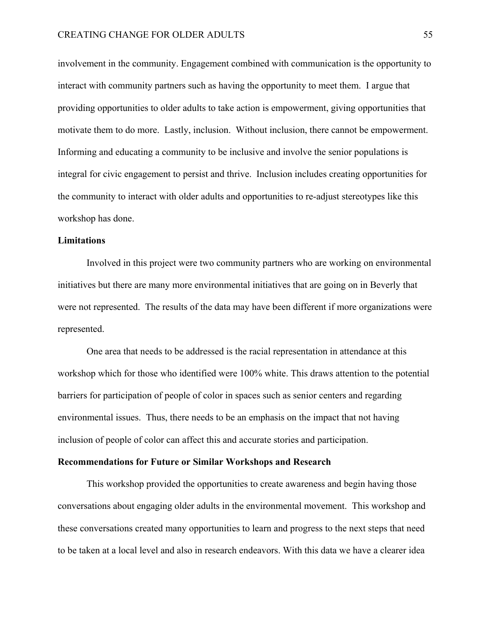involvement in the community. Engagement combined with communication is the opportunity to interact with community partners such as having the opportunity to meet them. I argue that providing opportunities to older adults to take action is empowerment, giving opportunities that motivate them to do more. Lastly, inclusion. Without inclusion, there cannot be empowerment. Informing and educating a community to be inclusive and involve the senior populations is integral for civic engagement to persist and thrive. Inclusion includes creating opportunities for the community to interact with older adults and opportunities to re-adjust stereotypes like this workshop has done.

## **Limitations**

Involved in this project were two community partners who are working on environmental initiatives but there are many more environmental initiatives that are going on in Beverly that were not represented. The results of the data may have been different if more organizations were represented.

One area that needs to be addressed is the racial representation in attendance at this workshop which for those who identified were 100% white. This draws attention to the potential barriers for participation of people of color in spaces such as senior centers and regarding environmental issues. Thus, there needs to be an emphasis on the impact that not having inclusion of people of color can affect this and accurate stories and participation.

#### **Recommendations for Future or Similar Workshops and Research**

 This workshop provided the opportunities to create awareness and begin having those conversations about engaging older adults in the environmental movement. This workshop and these conversations created many opportunities to learn and progress to the next steps that need to be taken at a local level and also in research endeavors. With this data we have a clearer idea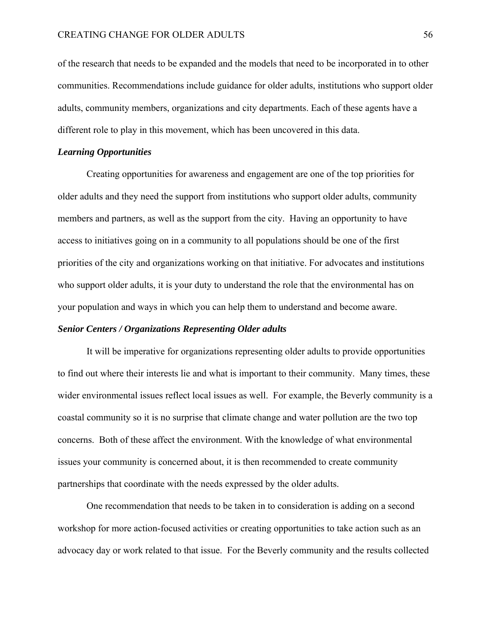of the research that needs to be expanded and the models that need to be incorporated in to other communities. Recommendations include guidance for older adults, institutions who support older adults, community members, organizations and city departments. Each of these agents have a different role to play in this movement, which has been uncovered in this data.

#### *Learning Opportunities*

 Creating opportunities for awareness and engagement are one of the top priorities for older adults and they need the support from institutions who support older adults, community members and partners, as well as the support from the city. Having an opportunity to have access to initiatives going on in a community to all populations should be one of the first priorities of the city and organizations working on that initiative. For advocates and institutions who support older adults, it is your duty to understand the role that the environmental has on your population and ways in which you can help them to understand and become aware.

## *Senior Centers / Organizations Representing Older adults*

It will be imperative for organizations representing older adults to provide opportunities to find out where their interests lie and what is important to their community. Many times, these wider environmental issues reflect local issues as well. For example, the Beverly community is a coastal community so it is no surprise that climate change and water pollution are the two top concerns. Both of these affect the environment. With the knowledge of what environmental issues your community is concerned about, it is then recommended to create community partnerships that coordinate with the needs expressed by the older adults.

One recommendation that needs to be taken in to consideration is adding on a second workshop for more action-focused activities or creating opportunities to take action such as an advocacy day or work related to that issue. For the Beverly community and the results collected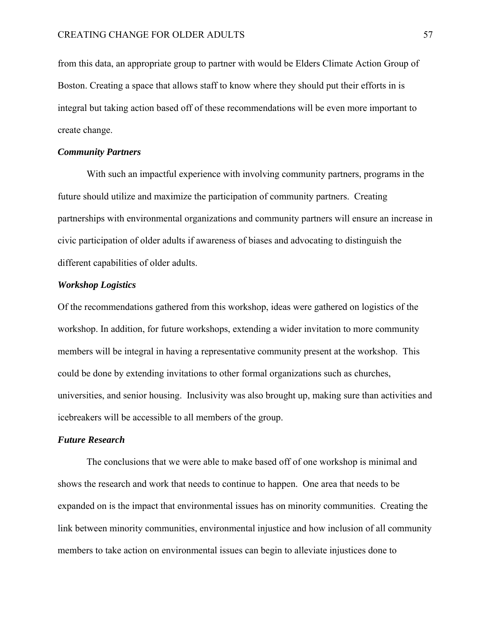from this data, an appropriate group to partner with would be Elders Climate Action Group of Boston. Creating a space that allows staff to know where they should put their efforts in is integral but taking action based off of these recommendations will be even more important to create change.

#### *Community Partners*

 With such an impactful experience with involving community partners, programs in the future should utilize and maximize the participation of community partners. Creating partnerships with environmental organizations and community partners will ensure an increase in civic participation of older adults if awareness of biases and advocating to distinguish the different capabilities of older adults.

## *Workshop Logistics*

Of the recommendations gathered from this workshop, ideas were gathered on logistics of the workshop. In addition, for future workshops, extending a wider invitation to more community members will be integral in having a representative community present at the workshop. This could be done by extending invitations to other formal organizations such as churches, universities, and senior housing. Inclusivity was also brought up, making sure than activities and icebreakers will be accessible to all members of the group.

#### *Future Research*

The conclusions that we were able to make based off of one workshop is minimal and shows the research and work that needs to continue to happen. One area that needs to be expanded on is the impact that environmental issues has on minority communities. Creating the link between minority communities, environmental injustice and how inclusion of all community members to take action on environmental issues can begin to alleviate injustices done to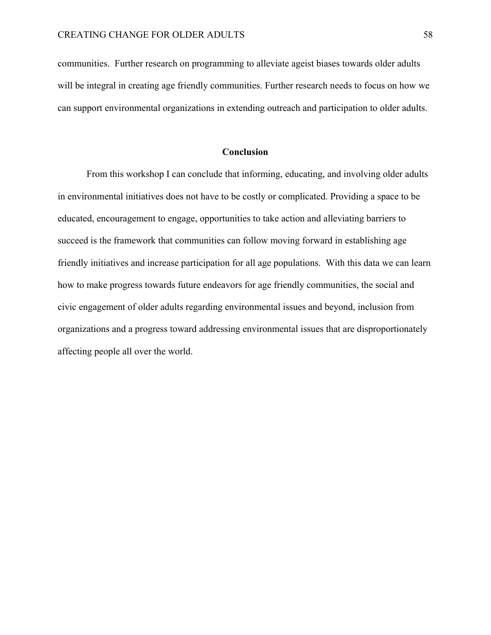communities. Further research on programming to alleviate ageist biases towards older adults will be integral in creating age friendly communities. Further research needs to focus on how we can support environmental organizations in extending outreach and participation to older adults.

## **Conclusion**

 From this workshop I can conclude that informing, educating, and involving older adults in environmental initiatives does not have to be costly or complicated. Providing a space to be educated, encouragement to engage, opportunities to take action and alleviating barriers to succeed is the framework that communities can follow moving forward in establishing age friendly initiatives and increase participation for all age populations. With this data we can learn how to make progress towards future endeavors for age friendly communities, the social and civic engagement of older adults regarding environmental issues and beyond, inclusion from organizations and a progress toward addressing environmental issues that are disproportionately affecting people all over the world.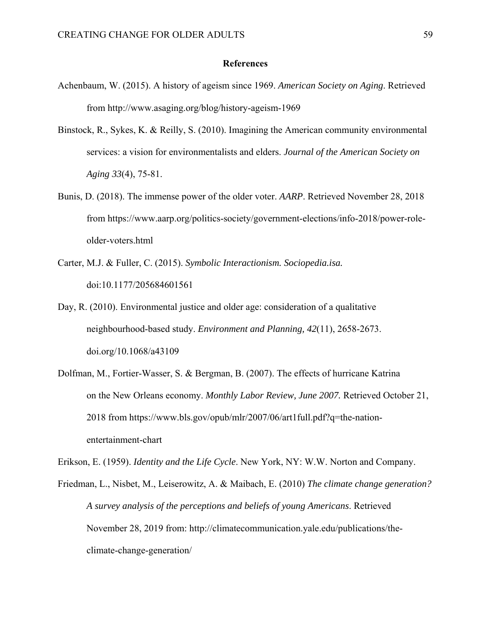#### **References**

- Achenbaum, W. (2015). A history of ageism since 1969. *American Society on Aging*. Retrieved from http://www.asaging.org/blog/history-ageism-1969
- Binstock, R., Sykes, K. & Reilly, S. (2010). Imagining the American community environmental services: a vision for environmentalists and elders. *Journal of the American Society on Aging 33*(4), 75-81.
- Bunis, D. (2018). The immense power of the older voter. *AARP*. Retrieved November 28, 2018 from https://www.aarp.org/politics-society/government-elections/info-2018/power-roleolder-voters.html
- Carter, M.J. & Fuller, C. (2015). *Symbolic Interactionism. Sociopedia.isa.*  doi:10.1177/205684601561
- Day, R. (2010). Environmental justice and older age: consideration of a qualitative neighbourhood-based study. *Environment and Planning, 42*(11), 2658-2673. doi.org/10.1068/a43109
- Dolfman, M., Fortier-Wasser, S. & Bergman, B. (2007). The effects of hurricane Katrina on the New Orleans economy. *Monthly Labor Review, June 2007.* Retrieved October 21, 2018 from https://www.bls.gov/opub/mlr/2007/06/art1full.pdf?q=the-nationentertainment-chart

Erikson, E. (1959). *Identity and the Life Cycle*. New York, NY: W.W. Norton and Company.

Friedman, L., Nisbet, M., Leiserowitz, A. & Maibach, E. (2010) *The climate change generation? A survey analysis of the perceptions and beliefs of young Americans*. Retrieved November 28, 2019 from: http://climatecommunication.yale.edu/publications/theclimate-change-generation/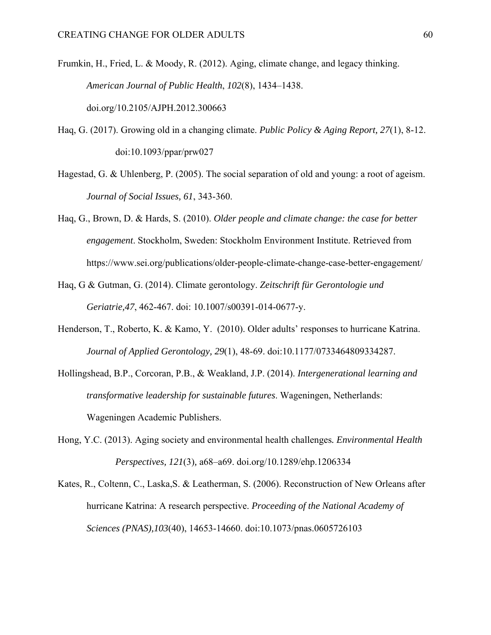Frumkin, H., Fried, L. & Moody, R. (2012). Aging, climate change, and legacy thinking. *American Journal of Public Health*, *102*(8), 1434–1438. doi.org/10.2105/AJPH.2012.300663

- Haq, G. (2017). Growing old in a changing climate. *Public Policy & Aging Report, 27*(1), 8-12. doi:10.1093/ppar/prw027
- Hagestad, G. & Uhlenberg, P. (2005). The social separation of old and young: a root of ageism. *Journal of Social Issues, 61*, 343-360.
- Haq, G., Brown, D. & Hards, S. (2010). *Older people and climate change: the case for better engagement*. Stockholm, Sweden: Stockholm Environment Institute. Retrieved from https://www.sei.org/publications/older-people-climate-change-case-better-engagement/
- Haq, G & Gutman, G. (2014). Climate gerontology. *Zeitschrift für Gerontologie und Geriatrie,47*, 462-467. doi: 10.1007/s00391-014-0677-y.
- Henderson, T., Roberto, K. & Kamo, Y. (2010). Older adults' responses to hurricane Katrina. *Journal of Applied Gerontology, 29*(1), 48-69. doi:10.1177/0733464809334287.
- Hollingshead, B.P., Corcoran, P.B., & Weakland, J.P. (2014). *Intergenerational learning and transformative leadership for sustainable futures*. Wageningen, Netherlands: Wageningen Academic Publishers.
- Hong, Y.C. (2013). Aging society and environmental health challenges*. Environmental Health Perspectives, 121*(3)*,* a68–a69. doi.org/10.1289/ehp.1206334
- Kates, R., Coltenn, C., Laska,S. & Leatherman, S. (2006). Reconstruction of New Orleans after hurricane Katrina: A research perspective. *Proceeding of the National Academy of Sciences (PNAS),103*(40), 14653-14660. doi:10.1073/pnas.0605726103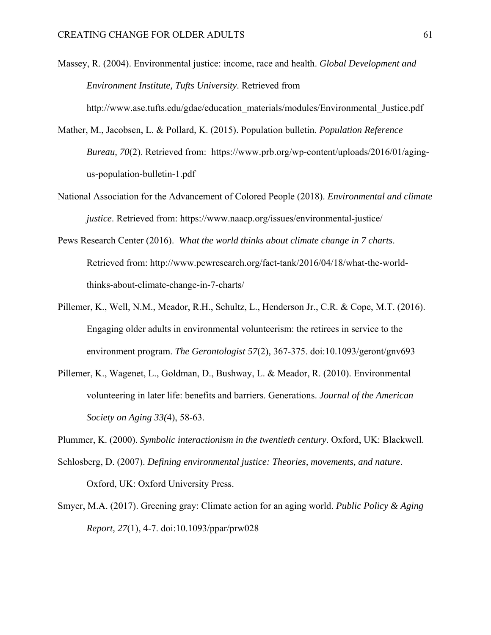Massey, R. (2004). Environmental justice: income, race and health. *Global Development and Environment Institute, Tufts University*. Retrieved from http://www.ase.tufts.edu/gdae/education\_materials/modules/Environmental\_Justice.pdf

- Mather, M., Jacobsen, L. & Pollard, K. (2015). Population bulletin. *Population Reference Bureau, 70*(2). Retrieved from: https://www.prb.org/wp-content/uploads/2016/01/agingus-population-bulletin-1.pdf
- National Association for the Advancement of Colored People (2018). *Environmental and climate justice*. Retrieved from: https://www.naacp.org/issues/environmental-justice/
- Pews Research Center (2016). *What the world thinks about climate change in 7 charts*. Retrieved from: http://www.pewresearch.org/fact-tank/2016/04/18/what-the-worldthinks-about-climate-change-in-7-charts/
- Pillemer, K., Well, N.M., Meador, R.H., Schultz, L., Henderson Jr., C.R. & Cope, M.T. (2016). Engaging older adults in environmental volunteerism: the retirees in service to the environment program. *The Gerontologist 57*(2)*,* 367-375. doi:10.1093/geront/gnv693
- Pillemer, K., Wagenet, L., Goldman, D., Bushway, L. & Meador, R. (2010). Environmental volunteering in later life: benefits and barriers. Generations. *Journal of the American Society on Aging 33(*4), 58-63.

Plummer, K. (2000). *Symbolic interactionism in the twentieth century*. Oxford, UK: Blackwell.

- Schlosberg, D. (2007). *Defining environmental justice: Theories, movements, and nature*. Oxford, UK: Oxford University Press.
- Smyer, M.A. (2017). Greening gray: Climate action for an aging world. *Public Policy & Aging Report, 27*(1), 4-7. doi:10.1093/ppar/prw028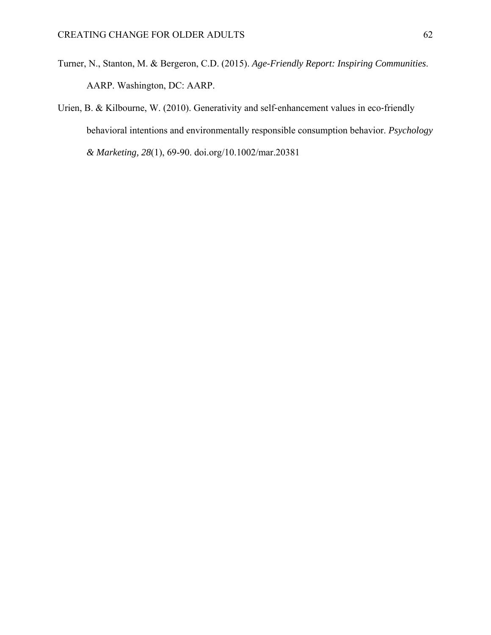- Turner, N., Stanton, M. & Bergeron, C.D. (2015). *Age-Friendly Report: Inspiring Communities*. AARP. Washington, DC: AARP.
- Urien, B. & Kilbourne, W. (2010). Generativity and self-enhancement values in eco-friendly behavioral intentions and environmentally responsible consumption behavior. *Psychology & Marketing, 28*(1), 69-90. doi.org/10.1002/mar.20381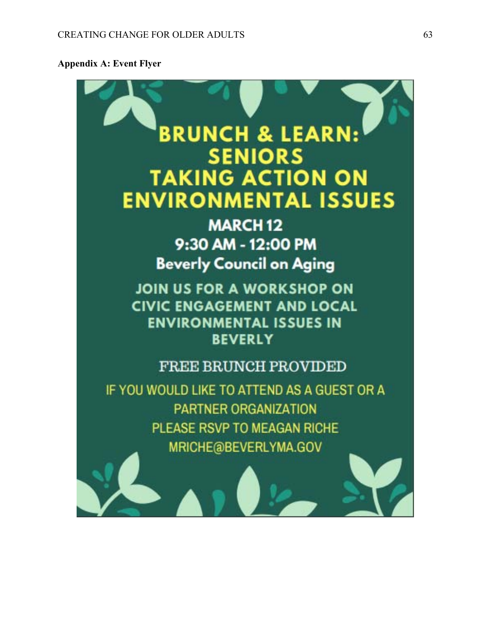## **Appendix A: Event Flyer**

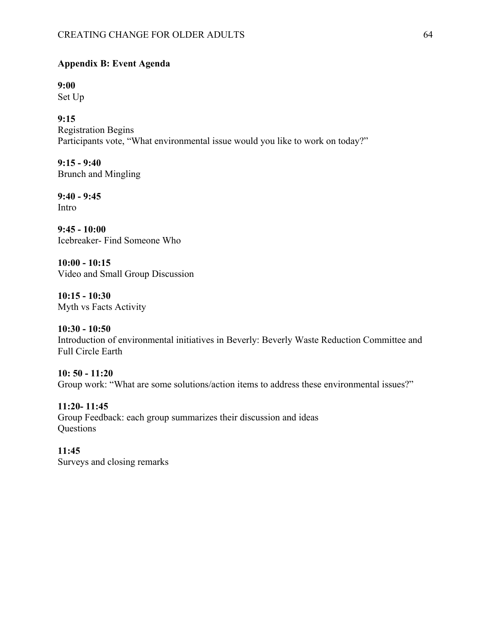## **Appendix B: Event Agenda**

**9:00**  Set Up

**9:15**  Registration Begins Participants vote, "What environmental issue would you like to work on today?"

**9:15 - 9:40**  Brunch and Mingling

**9:40 - 9:45**  Intro

**9:45 - 10:00**  Icebreaker- Find Someone Who

**10:00 - 10:15**  Video and Small Group Discussion

**10:15 - 10:30**  Myth vs Facts Activity

**10:30 - 10:50**  Introduction of environmental initiatives in Beverly: Beverly Waste Reduction Committee and Full Circle Earth

**10: 50 - 11:20** Group work: "What are some solutions/action items to address these environmental issues?"

**11:20- 11:45**  Group Feedback: each group summarizes their discussion and ideas **Questions** 

**11:45**  Surveys and closing remarks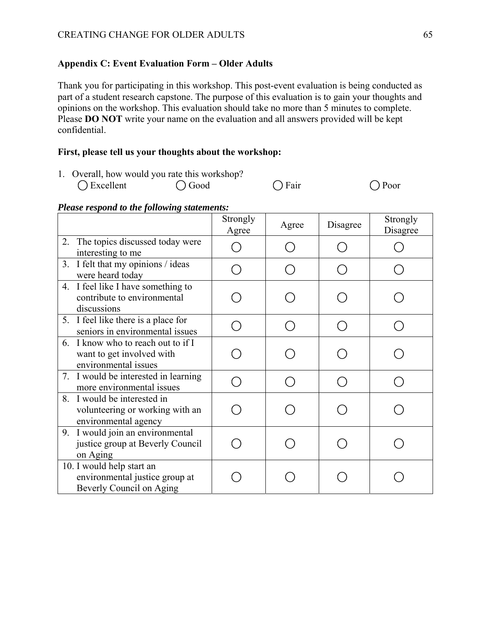## **Appendix C: Event Evaluation Form – Older Adults**

Thank you for participating in this workshop. This post-event evaluation is being conducted as part of a student research capstone. The purpose of this evaluation is to gain your thoughts and opinions on the workshop. This evaluation should take no more than 5 minutes to complete. Please **DO NOT** write your name on the evaluation and all answers provided will be kept confidential.

## **First, please tell us your thoughts about the workshop:**

1. Overall, how would you rate this workshop?

|  | Excellent |  |
|--|-----------|--|
|--|-----------|--|

 $\bigcirc$  Good  $\bigcirc$  Fair  $\bigcirc$  Poor

## *Please respond to the following statements:*

|                                                                                         | Strongly<br>Agree | Agree | Disagree | Strongly<br>Disagree |
|-----------------------------------------------------------------------------------------|-------------------|-------|----------|----------------------|
| The topics discussed today were<br>2.<br>interesting to me                              |                   |       |          |                      |
| 3. I felt that my opinions / ideas<br>were heard today                                  |                   |       |          |                      |
| 4. I feel like I have something to<br>contribute to environmental<br>discussions        |                   |       |          |                      |
| 5. I feel like there is a place for<br>seniors in environmental issues                  |                   |       |          |                      |
| 6. I know who to reach out to if I<br>want to get involved with<br>environmental issues |                   |       |          |                      |
| 7. I would be interested in learning<br>more environmental issues                       |                   |       |          |                      |
| 8. I would be interested in<br>volunteering or working with an<br>environmental agency  |                   |       |          |                      |
| I would join an environmental<br>9.<br>justice group at Beverly Council<br>on Aging     |                   |       |          |                      |
| 10. I would help start an<br>environmental justice group at<br>Beverly Council on Aging |                   |       |          |                      |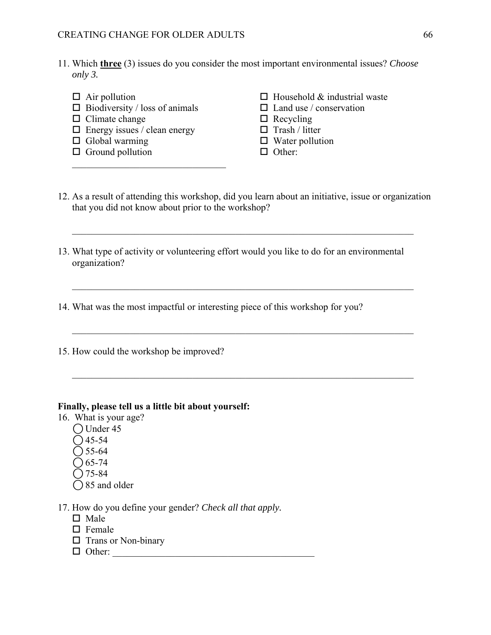- 11. Which **three** (3) issues do you consider the most important environmental issues? *Choose only 3.*
	-
	- $\Box$  Biodiversity / loss of animals  $\Box$  Land use / conservation
	- $\Box$  Climate change  $\Box$  Recycling
	- $\Box$  Energy issues / clean energy  $\Box$  Trash / litter
	- $\Box$  Global warming  $\Box$  Water pollution
	- $\Box$  Ground pollution  $\Box$  Other:
	- $\Box$  Air pollution  $\Box$  Household & industrial waste
		-
		-
		-
		-
		-
- 12. As a result of attending this workshop, did you learn about an initiative, issue or organization that you did not know about prior to the workshop?
- 13. What type of activity or volunteering effort would you like to do for an environmental organization?
- 14. What was the most impactful or interesting piece of this workshop for you?
- 15. How could the workshop be improved?

#### **Finally, please tell us a little bit about yourself:**

- 16. What is your age?
	- $\bigcirc$  Under 45
	- $\bigcirc$  45-54
	- $\bigcap$  55-64
	- $\bigcirc$  65-74
	- $\bigcap$  75-84
	- $\bigcap$  85 and older
- 17. How do you define your gender? *Check all that apply.*
	- $\Pi$  Male
	- $\square$  Female
	- $\Box$  Trans or Non-binary
	- Other: \_\_\_\_\_\_\_\_\_\_\_\_\_\_\_\_\_\_\_\_\_\_\_\_\_\_\_\_\_\_\_\_\_\_\_\_\_\_\_\_\_\_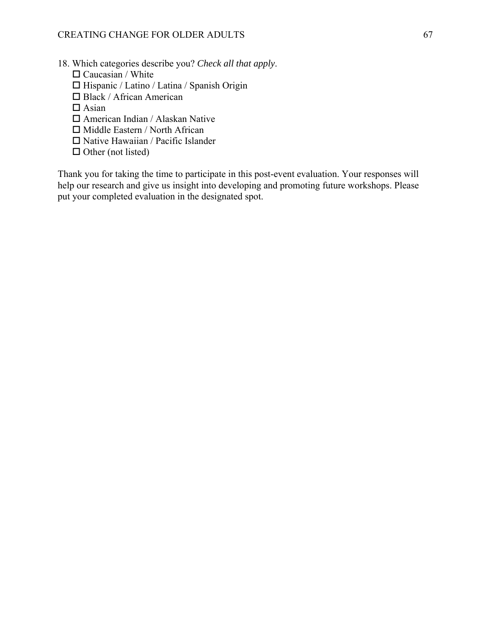- 18. Which categories describe you? *Check all that apply*.
	- $\Box$  Caucasian / White
	- $\Box$  Hispanic / Latino / Latina / Spanish Origin
	- Black / African American
	- $\Box$  Asian
	- American Indian / Alaskan Native
	- $\Box$  Middle Eastern / North African
	- $\Box$  Native Hawaiian / Pacific Islander
	- $\Box$  Other (not listed)

Thank you for taking the time to participate in this post-event evaluation. Your responses will help our research and give us insight into developing and promoting future workshops. Please put your completed evaluation in the designated spot.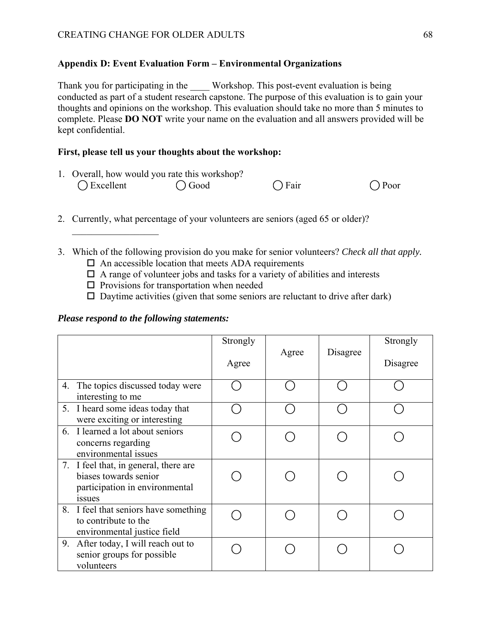## **Appendix D: Event Evaluation Form – Environmental Organizations**

Thank you for participating in the Workshop. This post-event evaluation is being conducted as part of a student research capstone. The purpose of this evaluation is to gain your thoughts and opinions on the workshop. This evaluation should take no more than 5 minutes to complete. Please **DO NOT** write your name on the evaluation and all answers provided will be kept confidential.

## **First, please tell us your thoughts about the workshop:**

|                     | 1. Overall, how would you rate this workshop? |                |                |
|---------------------|-----------------------------------------------|----------------|----------------|
| $\bigcap$ Excellent | $\bigcirc$ Good                               | $\bigcap$ Fair | $\bigcap$ Poor |

- 2. Currently, what percentage of your volunteers are seniors (aged 65 or older)?
- 3. Which of the following provision do you make for senior volunteers? *Check all that apply.*
	- $\Box$  An accessible location that meets ADA requirements
	- $\Box$  A range of volunteer jobs and tasks for a variety of abilities and interests
	- $\square$  Provisions for transportation when needed
	- $\square$  Daytime activities (given that some seniors are reluctant to drive after dark)

## *Please respond to the following statements:*

|                                                                                                                   | Strongly<br>Agree | Agree | Disagree | Strongly<br>Disagree |
|-------------------------------------------------------------------------------------------------------------------|-------------------|-------|----------|----------------------|
| 4. The topics discussed today were<br>interesting to me                                                           |                   |       |          |                      |
| 5. I heard some ideas today that<br>were exciting or interesting                                                  |                   |       |          |                      |
| 6. I learned a lot about seniors<br>concerns regarding<br>environmental issues                                    |                   |       |          |                      |
| 7. I feel that, in general, there are<br>biases towards senior<br>participation in environmental<br><i>issues</i> |                   |       |          |                      |
| 8. I feel that seniors have something<br>to contribute to the<br>environmental justice field                      |                   |       |          |                      |
| 9. After today, I will reach out to<br>senior groups for possible<br>volunteers                                   |                   |       |          |                      |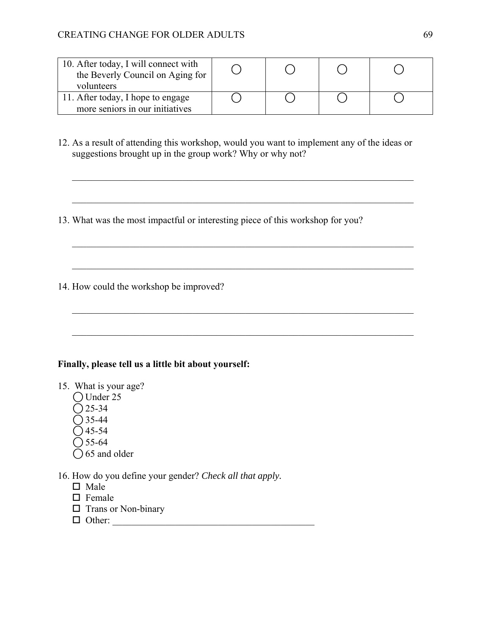| 10. After today, I will connect with<br>the Beverly Council on Aging for<br>volunteers |  |  |
|----------------------------------------------------------------------------------------|--|--|
| 11. After today, I hope to engage                                                      |  |  |
| more seniors in our initiatives                                                        |  |  |

12. As a result of attending this workshop, would you want to implement any of the ideas or suggestions brought up in the group work? Why or why not?

 $\mathcal{L}_\mathcal{L} = \mathcal{L}_\mathcal{L} = \mathcal{L}_\mathcal{L} = \mathcal{L}_\mathcal{L} = \mathcal{L}_\mathcal{L} = \mathcal{L}_\mathcal{L} = \mathcal{L}_\mathcal{L} = \mathcal{L}_\mathcal{L} = \mathcal{L}_\mathcal{L} = \mathcal{L}_\mathcal{L} = \mathcal{L}_\mathcal{L} = \mathcal{L}_\mathcal{L} = \mathcal{L}_\mathcal{L} = \mathcal{L}_\mathcal{L} = \mathcal{L}_\mathcal{L} = \mathcal{L}_\mathcal{L} = \mathcal{L}_\mathcal{L}$ 

 $\mathcal{L}_\mathcal{L} = \mathcal{L}_\mathcal{L} = \mathcal{L}_\mathcal{L} = \mathcal{L}_\mathcal{L} = \mathcal{L}_\mathcal{L} = \mathcal{L}_\mathcal{L} = \mathcal{L}_\mathcal{L} = \mathcal{L}_\mathcal{L} = \mathcal{L}_\mathcal{L} = \mathcal{L}_\mathcal{L} = \mathcal{L}_\mathcal{L} = \mathcal{L}_\mathcal{L} = \mathcal{L}_\mathcal{L} = \mathcal{L}_\mathcal{L} = \mathcal{L}_\mathcal{L} = \mathcal{L}_\mathcal{L} = \mathcal{L}_\mathcal{L}$ 

13. What was the most impactful or interesting piece of this workshop for you?

14. How could the workshop be improved?

## **Finally, please tell us a little bit about yourself:**

15. What is your age?

- ⃝ Under 25
- $O$  25-34
- $\overline{O}$  35-44
- $\bigcap$  45-54
- $\bigcap$  55-64
- $\bigcirc$  65 and older
- 16. How do you define your gender? *Check all that apply.*
	- $\Box$  Male
	- $\Box$  Female
	- $\square$  Trans or Non-binary
	- $\Box$  Other: